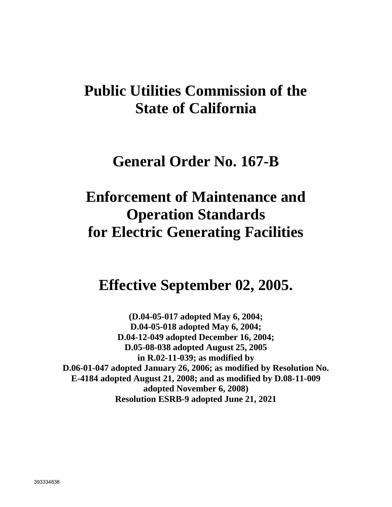# **Public Utilities Commission of the State of California**

# **General Order No. 167-B**

# **Enforcement of Maintenance and Operation Standards for Electric Generating Facilities**

# **Effective September 02, 2005.**

**(D.04-05-017 adopted May 6, 2004; D.04-05-018 adopted May 6, 2004; D.04-12-049 adopted December 16, 2004; D.05-08-038 adopted August 25, 2005 in R.02-11-039; as modified by D.06-01-047 adopted January 26, 2006; as modified by Resolution No. E-4184 adopted August 21, 2008; and as modified by D.08-11-009 adopted November 6, 2008) Resolution ESRB-9 adopted June 21, 2021**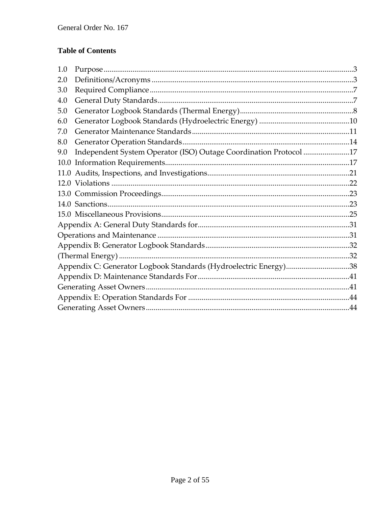# **Table of Contents**

| 1.0 |                                                                   |  |  |
|-----|-------------------------------------------------------------------|--|--|
| 2.0 |                                                                   |  |  |
| 3.0 |                                                                   |  |  |
| 4.0 |                                                                   |  |  |
| 5.0 |                                                                   |  |  |
| 6.0 |                                                                   |  |  |
| 7.0 |                                                                   |  |  |
| 8.0 |                                                                   |  |  |
| 9.0 | Independent System Operator (ISO) Outage Coordination Protocol 17 |  |  |
|     |                                                                   |  |  |
|     |                                                                   |  |  |
|     |                                                                   |  |  |
|     |                                                                   |  |  |
|     |                                                                   |  |  |
|     |                                                                   |  |  |
|     |                                                                   |  |  |
|     |                                                                   |  |  |
|     |                                                                   |  |  |
|     |                                                                   |  |  |
|     | Appendix C: Generator Logbook Standards (Hydroelectric Energy)38  |  |  |
|     |                                                                   |  |  |
|     |                                                                   |  |  |
|     |                                                                   |  |  |
|     |                                                                   |  |  |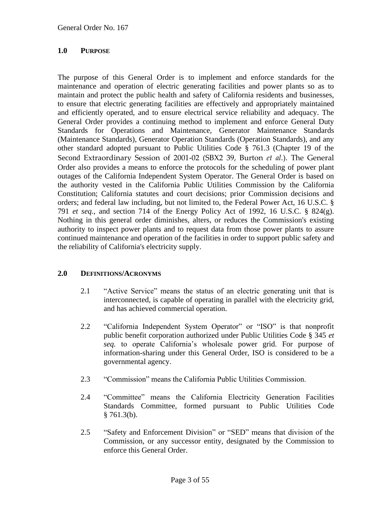#### <span id="page-2-0"></span>**1.0 PURPOSE**

The purpose of this General Order is to implement and enforce standards for the maintenance and operation of electric generating facilities and power plants so as to maintain and protect the public health and safety of California residents and businesses, to ensure that electric generating facilities are effectively and appropriately maintained and efficiently operated, and to ensure electrical service reliability and adequacy. The General Order provides a continuing method to implement and enforce General Duty Standards for Operations and Maintenance, Generator Maintenance Standards (Maintenance Standards), Generator Operation Standards (Operation Standards), and any other standard adopted pursuant to Public Utilities Code § 761.3 (Chapter 19 of the Second Extraordinary Session of 2001-02 (SBX2 39, Burton *et al*.). The General Order also provides a means to enforce the protocols for the scheduling of power plant outages of the California Independent System Operator. The General Order is based on the authority vested in the California Public Utilities Commission by the California Constitution; California statutes and court decisions; prior Commission decisions and orders; and federal law including, but not limited to, the Federal Power Act, 16 U.S.C. § 791 *et seq.*, and section 714 of the Energy Policy Act of 1992, 16 U.S.C. § 824(g). Nothing in this general order diminishes, alters, or reduces the Commission's existing authority to inspect power plants and to request data from those power plants to assure continued maintenance and operation of the facilities in order to support public safety and the reliability of California's electricity supply.

#### <span id="page-2-1"></span>**2.0 DEFINITIONS/ACRONYMS**

- 2.1 "Active Service" means the status of an electric generating unit that is interconnected, is capable of operating in parallel with the electricity grid, and has achieved commercial operation.
- 2.2 "California Independent System Operator" or "ISO" is that nonprofit public benefit corporation authorized under Public Utilities Code § 345 *et seq.* to operate California's wholesale power grid. For purpose of information-sharing under this General Order, ISO is considered to be a governmental agency.
- 2.3 "Commission" means the California Public Utilities Commission.
- 2.4 "Committee" means the California Electricity Generation Facilities Standards Committee, formed pursuant to Public Utilities Code  $§ 761.3(b).$
- 2.5 "Safety and Enforcement Division" or "SED" means that division of the Commission, or any successor entity, designated by the Commission to enforce this General Order.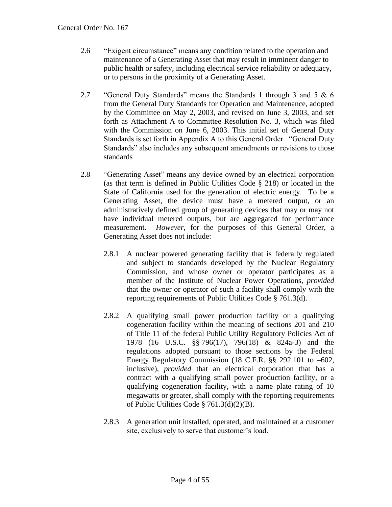- 2.6 "Exigent circumstance" means any condition related to the operation and maintenance of a Generating Asset that may result in imminent danger to public health or safety, including electrical service reliability or adequacy, or to persons in the proximity of a Generating Asset.
- 2.7 "General Duty Standards" means the Standards 1 through 3 and 5 & 6 from the General Duty Standards for Operation and Maintenance, adopted by the Committee on May 2, 2003, and revised on June 3, 2003, and set forth as Attachment A to Committee Resolution No. 3, which was filed with the Commission on June 6, 2003. This initial set of General Duty Standards is set forth in Appendix A to this General Order. "General Duty Standards" also includes any subsequent amendments or revisions to those standards
- 2.8 "Generating Asset" means any device owned by an electrical corporation (as that term is defined in Public Utilities Code § 218) or located in the State of California used for the generation of electric energy. To be a Generating Asset, the device must have a metered output, or an administratively defined group of generating devices that may or may not have individual metered outputs, but are aggregated for performance measurement. *However*, for the purposes of this General Order, a Generating Asset does not include:
	- 2.8.1 A nuclear powered generating facility that is federally regulated and subject to standards developed by the Nuclear Regulatory Commission, and whose owner or operator participates as a member of the Institute of Nuclear Power Operations, *provided* that the owner or operator of such a facility shall comply with the reporting requirements of Public Utilities Code § 761.3(d).
	- 2.8.2 A qualifying small power production facility or a qualifying cogeneration facility within the meaning of sections 201 and 210 of Title 11 of the federal Public Utility Regulatory Policies Act of 1978 (16 U.S.C. §§ 796(17), 796(18) & 824a-3) and the regulations adopted pursuant to those sections by the Federal Energy Regulatory Commission (18 C.F.R. §§ 292.101 to –602, inclusive), *provided* that an electrical corporation that has a contract with a qualifying small power production facility, or a qualifying cogeneration facility, with a name plate rating of 10 megawatts or greater, shall comply with the reporting requirements of Public Utilities Code § 761.3(d)(2)(B).
	- 2.8.3 A generation unit installed, operated, and maintained at a customer site, exclusively to serve that customer's load.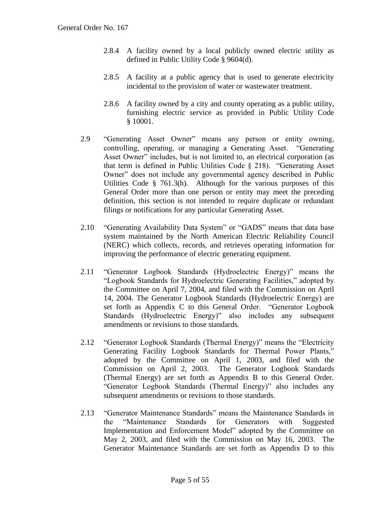- 2.8.4 A facility owned by a local publicly owned electric utility as defined in Public Utility Code § 9604(d).
- 2.8.5 A facility at a public agency that is used to generate electricity incidental to the provision of water or wastewater treatment.
- 2.8.6 A facility owned by a city and county operating as a public utility, furnishing electric service as provided in Public Utility Code § 10001.
- 2.9 "Generating Asset Owner" means any person or entity owning, controlling, operating, or managing a Generating Asset. "Generating Asset Owner" includes, but is not limited to, an electrical corporation (as that term is defined in Public Utilities Code § 218). "Generating Asset Owner" does not include any governmental agency described in Public Utilities Code § 761.3(h). Although for the various purposes of this General Order more than one person or entity may meet the preceding definition, this section is not intended to require duplicate or redundant filings or notifications for any particular Generating Asset.
- 2.10 "Generating Availability Data System" or "GADS" means that data base system maintained by the North American Electric Reliability Council (NERC) which collects, records, and retrieves operating information for improving the performance of electric generating equipment.
- 2.11 "Generator Logbook Standards (Hydroelectric Energy)" means the "Logbook Standards for Hydroelectric Generating Facilities," adopted by the Committee on April 7, 2004, and filed with the Commission on April 14, 2004. The Generator Logbook Standards (Hydroelectric Energy) are set forth as Appendix C to this General Order. "Generator Logbook Standards (Hydroelectric Energy)" also includes any subsequent amendments or revisions to those standards.
- 2.12 "Generator Logbook Standards (Thermal Energy)" means the "Electricity Generating Facility Logbook Standards for Thermal Power Plants," adopted by the Committee on April 1, 2003, and filed with the Commission on April 2, 2003. The Generator Logbook Standards (Thermal Energy) are set forth as Appendix B to this General Order. "Generator Logbook Standards (Thermal Energy)" also includes any subsequent amendments or revisions to those standards.
- 2.13 "Generator Maintenance Standards" means the Maintenance Standards in the "Maintenance Standards for Generators with Suggested Implementation and Enforcement Model" adopted by the Committee on May 2, 2003, and filed with the Commission on May 16, 2003. The Generator Maintenance Standards are set forth as Appendix D to this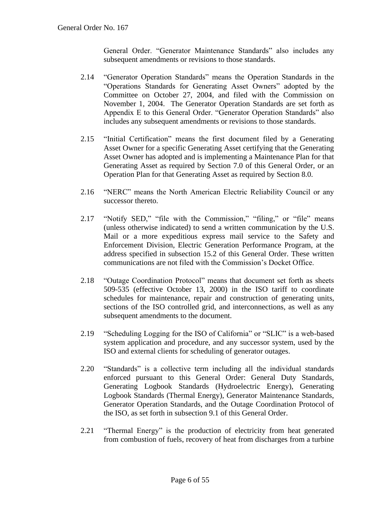General Order. "Generator Maintenance Standards" also includes any subsequent amendments or revisions to those standards.

- 2.14 "Generator Operation Standards" means the Operation Standards in the "Operations Standards for Generating Asset Owners" adopted by the Committee on October 27, 2004, and filed with the Commission on November 1, 2004. The Generator Operation Standards are set forth as Appendix E to this General Order. "Generator Operation Standards" also includes any subsequent amendments or revisions to those standards.
- 2.15 "Initial Certification" means the first document filed by a Generating Asset Owner for a specific Generating Asset certifying that the Generating Asset Owner has adopted and is implementing a Maintenance Plan for that Generating Asset as required by Section 7.0 of this General Order, or an Operation Plan for that Generating Asset as required by Section 8.0.
- 2.16 "NERC" means the North American Electric Reliability Council or any successor thereto.
- 2.17 "Notify SED," "file with the Commission," "filing," or "file" means (unless otherwise indicated) to send a written communication by the U.S. Mail or a more expeditious express mail service to the Safety and Enforcement Division, Electric Generation Performance Program, at the address specified in subsection 15.2 of this General Order. These written communications are not filed with the Commission's Docket Office.
- 2.18 "Outage Coordination Protocol" means that document set forth as sheets 509-535 (effective October 13, 2000) in the ISO tariff to coordinate schedules for maintenance, repair and construction of generating units, sections of the ISO controlled grid, and interconnections, as well as any subsequent amendments to the document.
- 2.19 "Scheduling Logging for the ISO of California" or "SLIC" is a web-based system application and procedure, and any successor system, used by the ISO and external clients for scheduling of generator outages.
- 2.20 "Standards" is a collective term including all the individual standards enforced pursuant to this General Order: General Duty Standards, Generating Logbook Standards (Hydroelectric Energy), Generating Logbook Standards (Thermal Energy), Generator Maintenance Standards, Generator Operation Standards, and the Outage Coordination Protocol of the ISO, as set forth in subsection 9.1 of this General Order.
- 2.21 "Thermal Energy" is the production of electricity from heat generated from combustion of fuels, recovery of heat from discharges from a turbine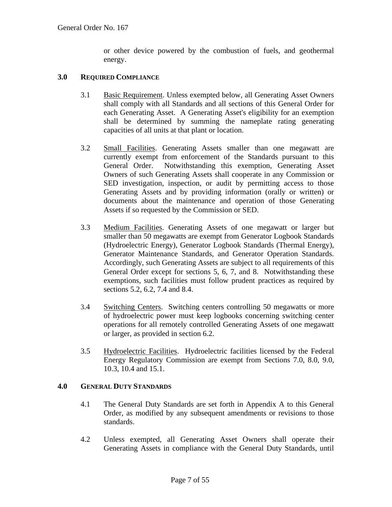or other device powered by the combustion of fuels, and geothermal energy.

#### <span id="page-6-0"></span>**3.0 REQUIRED COMPLIANCE**

- 3.1 Basic Requirement. Unless exempted below, all Generating Asset Owners shall comply with all Standards and all sections of this General Order for each Generating Asset. A Generating Asset's eligibility for an exemption shall be determined by summing the nameplate rating generating capacities of all units at that plant or location.
- 3.2 Small Facilities. Generating Assets smaller than one megawatt are currently exempt from enforcement of the Standards pursuant to this General Order. Notwithstanding this exemption, Generating Asset Owners of such Generating Assets shall cooperate in any Commission or SED investigation, inspection, or audit by permitting access to those Generating Assets and by providing information (orally or written) or documents about the maintenance and operation of those Generating Assets if so requested by the Commission or SED.
- 3.3 Medium Facilities. Generating Assets of one megawatt or larger but smaller than 50 megawatts are exempt from Generator Logbook Standards (Hydroelectric Energy), Generator Logbook Standards (Thermal Energy), Generator Maintenance Standards, and Generator Operation Standards. Accordingly, such Generating Assets are subject to all requirements of this General Order except for sections 5, 6, 7, and 8. Notwithstanding these exemptions, such facilities must follow prudent practices as required by sections 5.2, 6.2, 7.4 and 8.4.
- 3.4 Switching Centers. Switching centers controlling 50 megawatts or more of hydroelectric power must keep logbooks concerning switching center operations for all remotely controlled Generating Assets of one megawatt or larger, as provided in section 6.2.
- 3.5 Hydroelectric Facilities. Hydroelectric facilities licensed by the Federal Energy Regulatory Commission are exempt from Sections 7.0, 8.0, 9.0, 10.3, 10.4 and 15.1.

#### <span id="page-6-1"></span>**4.0 GENERAL DUTY STANDARDS**

- 4.1 The General Duty Standards are set forth in Appendix A to this General Order, as modified by any subsequent amendments or revisions to those standards.
- 4.2 Unless exempted, all Generating Asset Owners shall operate their Generating Assets in compliance with the General Duty Standards, until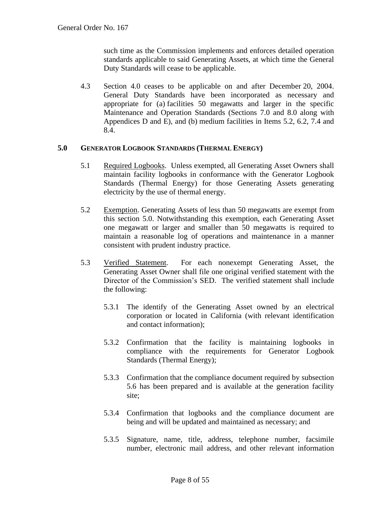such time as the Commission implements and enforces detailed operation standards applicable to said Generating Assets, at which time the General Duty Standards will cease to be applicable.

4.3 Section 4.0 ceases to be applicable on and after December 20, 2004. General Duty Standards have been incorporated as necessary and appropriate for (a) facilities 50 megawatts and larger in the specific Maintenance and Operation Standards (Sections 7.0 and 8.0 along with Appendices D and E), and (b) medium facilities in Items 5.2, 6.2, 7.4 and 8.4.

#### <span id="page-7-0"></span>**5.0 GENERATOR LOGBOOK STANDARDS (THERMAL ENERGY)**

- 5.1 Required Logbooks. Unless exempted, all Generating Asset Owners shall maintain facility logbooks in conformance with the Generator Logbook Standards (Thermal Energy) for those Generating Assets generating electricity by the use of thermal energy.
- 5.2 Exemption. Generating Assets of less than 50 megawatts are exempt from this section 5.0. Notwithstanding this exemption, each Generating Asset one megawatt or larger and smaller than 50 megawatts is required to maintain a reasonable log of operations and maintenance in a manner consistent with prudent industry practice.
- 5.3 Verified Statement. For each nonexempt Generating Asset, the Generating Asset Owner shall file one original verified statement with the Director of the Commission's SED. The verified statement shall include the following:
	- 5.3.1 The identify of the Generating Asset owned by an electrical corporation or located in California (with relevant identification and contact information);
	- 5.3.2 Confirmation that the facility is maintaining logbooks in compliance with the requirements for Generator Logbook Standards (Thermal Energy);
	- 5.3.3 Confirmation that the compliance document required by subsection 5.6 has been prepared and is available at the generation facility site;
	- 5.3.4 Confirmation that logbooks and the compliance document are being and will be updated and maintained as necessary; and
	- 5.3.5 Signature, name, title, address, telephone number, facsimile number, electronic mail address, and other relevant information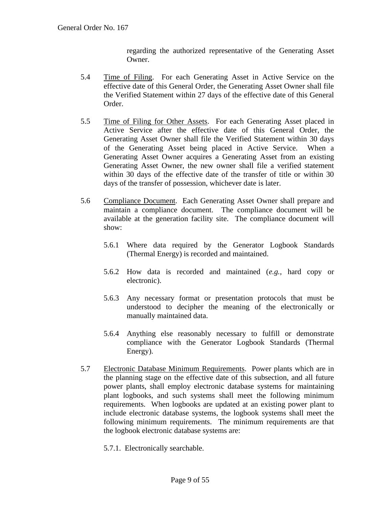regarding the authorized representative of the Generating Asset Owner.

- 5.4 Time of Filing. For each Generating Asset in Active Service on the effective date of this General Order, the Generating Asset Owner shall file the Verified Statement within 27 days of the effective date of this General Order.
- 5.5 Time of Filing for Other Assets. For each Generating Asset placed in Active Service after the effective date of this General Order, the Generating Asset Owner shall file the Verified Statement within 30 days of the Generating Asset being placed in Active Service. When a Generating Asset Owner acquires a Generating Asset from an existing Generating Asset Owner, the new owner shall file a verified statement within 30 days of the effective date of the transfer of title or within 30 days of the transfer of possession, whichever date is later.
- 5.6 Compliance Document. Each Generating Asset Owner shall prepare and maintain a compliance document. The compliance document will be available at the generation facility site. The compliance document will show:
	- 5.6.1 Where data required by the Generator Logbook Standards (Thermal Energy) is recorded and maintained.
	- 5.6.2 How data is recorded and maintained (*e.g.,* hard copy or electronic).
	- 5.6.3 Any necessary format or presentation protocols that must be understood to decipher the meaning of the electronically or manually maintained data.
	- 5.6.4 Anything else reasonably necessary to fulfill or demonstrate compliance with the Generator Logbook Standards (Thermal Energy).
- 5.7 Electronic Database Minimum Requirements. Power plants which are in the planning stage on the effective date of this subsection, and all future power plants, shall employ electronic database systems for maintaining plant logbooks, and such systems shall meet the following minimum requirements. When logbooks are updated at an existing power plant to include electronic database systems, the logbook systems shall meet the following minimum requirements. The minimum requirements are that the logbook electronic database systems are:
	- 5.7.1. Electronically searchable.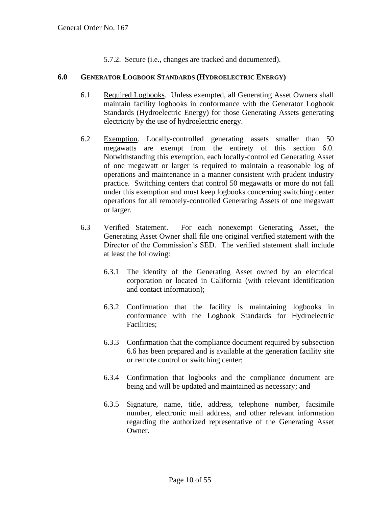5.7.2. Secure (i.e., changes are tracked and documented).

#### <span id="page-9-0"></span>**6.0 GENERATOR LOGBOOK STANDARDS (HYDROELECTRIC ENERGY)**

- 6.1 Required Logbooks. Unless exempted, all Generating Asset Owners shall maintain facility logbooks in conformance with the Generator Logbook Standards (Hydroelectric Energy) for those Generating Assets generating electricity by the use of hydroelectric energy.
- 6.2 Exemption. Locally-controlled generating assets smaller than 50 megawatts are exempt from the entirety of this section 6.0. Notwithstanding this exemption, each locally-controlled Generating Asset of one megawatt or larger is required to maintain a reasonable log of operations and maintenance in a manner consistent with prudent industry practice. Switching centers that control 50 megawatts or more do not fall under this exemption and must keep logbooks concerning switching center operations for all remotely-controlled Generating Assets of one megawatt or larger.
- 6.3 Verified Statement. For each nonexempt Generating Asset, the Generating Asset Owner shall file one original verified statement with the Director of the Commission's SED. The verified statement shall include at least the following:
	- 6.3.1 The identify of the Generating Asset owned by an electrical corporation or located in California (with relevant identification and contact information);
	- 6.3.2 Confirmation that the facility is maintaining logbooks in conformance with the Logbook Standards for Hydroelectric Facilities;
	- 6.3.3 Confirmation that the compliance document required by subsection 6.6 has been prepared and is available at the generation facility site or remote control or switching center;
	- 6.3.4 Confirmation that logbooks and the compliance document are being and will be updated and maintained as necessary; and
	- 6.3.5 Signature, name, title, address, telephone number, facsimile number, electronic mail address, and other relevant information regarding the authorized representative of the Generating Asset Owner.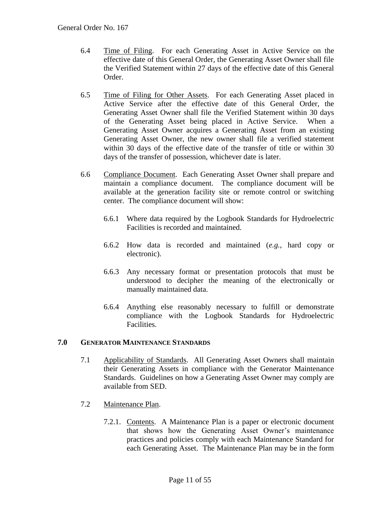- 6.4 Time of Filing. For each Generating Asset in Active Service on the effective date of this General Order, the Generating Asset Owner shall file the Verified Statement within 27 days of the effective date of this General Order.
- 6.5 Time of Filing for Other Assets. For each Generating Asset placed in Active Service after the effective date of this General Order, the Generating Asset Owner shall file the Verified Statement within 30 days of the Generating Asset being placed in Active Service. When a Generating Asset Owner acquires a Generating Asset from an existing Generating Asset Owner, the new owner shall file a verified statement within 30 days of the effective date of the transfer of title or within 30 days of the transfer of possession, whichever date is later.
- 6.6 Compliance Document. Each Generating Asset Owner shall prepare and maintain a compliance document. The compliance document will be available at the generation facility site or remote control or switching center. The compliance document will show:
	- 6.6.1 Where data required by the Logbook Standards for Hydroelectric Facilities is recorded and maintained.
	- 6.6.2 How data is recorded and maintained (*e.g.,* hard copy or electronic).
	- 6.6.3 Any necessary format or presentation protocols that must be understood to decipher the meaning of the electronically or manually maintained data.
	- 6.6.4 Anything else reasonably necessary to fulfill or demonstrate compliance with the Logbook Standards for Hydroelectric Facilities.

# <span id="page-10-0"></span>**7.0 GENERATOR MAINTENANCE STANDARDS**

- 7.1 Applicability of Standards. All Generating Asset Owners shall maintain their Generating Assets in compliance with the Generator Maintenance Standards. Guidelines on how a Generating Asset Owner may comply are available from SED.
- 7.2 Maintenance Plan.
	- 7.2.1. Contents. A Maintenance Plan is a paper or electronic document that shows how the Generating Asset Owner's maintenance practices and policies comply with each Maintenance Standard for each Generating Asset. The Maintenance Plan may be in the form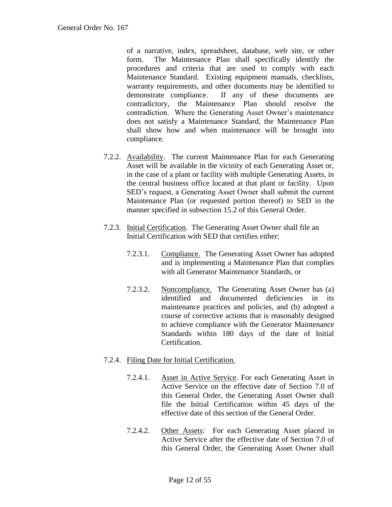of a narrative, index, spreadsheet, database, web site, or other form. The Maintenance Plan shall specifically identify the procedures and criteria that are used to comply with each Maintenance Standard. Existing equipment manuals, checklists, warranty requirements, and other documents may be identified to demonstrate compliance. If any of these documents are contradictory, the Maintenance Plan should resolve the contradiction. Where the Generating Asset Owner's maintenance does not satisfy a Maintenance Standard, the Maintenance Plan shall show how and when maintenance will be brought into compliance.

- 7.2.2. Availability. The current Maintenance Plan for each Generating Asset will be available in the vicinity of each Generating Asset or, in the case of a plant or facility with multiple Generating Assets, in the central business office located at that plant or facility. Upon SED's request, a Generating Asset Owner shall submit the current Maintenance Plan (or requested portion thereof) to SED in the manner specified in subsection 15.2 of this General Order.
- 7.2.3. Initial Certification. The Generating Asset Owner shall file an Initial Certification with SED that certifies either:
	- 7.2.3.1. Compliance. The Generating Asset Owner has adopted and is implementing a Maintenance Plan that complies with all Generator Maintenance Standards, or
	- 7.2.3.2. Noncompliance. The Generating Asset Owner has (a) identified and documented deficiencies in its maintenance practices and policies, and (b) adopted a course of corrective actions that is reasonably designed to achieve compliance with the Generator Maintenance Standards within 180 days of the date of Initial Certification.
- 7.2.4. Filing Date for Initial Certification.
	- 7.2.4.1. Asset in Active Service. For each Generating Asset in Active Service on the effective date of Section 7.0 of this General Order, the Generating Asset Owner shall file the Initial Certification within 45 days of the effective date of this section of the General Order.
	- 7.2.4.2. Other Assets: For each Generating Asset placed in Active Service after the effective date of Section 7.0 of this General Order, the Generating Asset Owner shall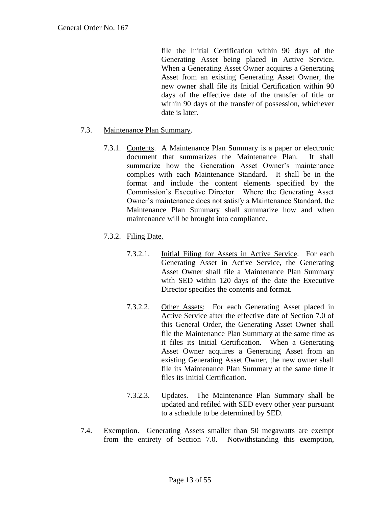file the Initial Certification within 90 days of the Generating Asset being placed in Active Service. When a Generating Asset Owner acquires a Generating Asset from an existing Generating Asset Owner, the new owner shall file its Initial Certification within 90 days of the effective date of the transfer of title or within 90 days of the transfer of possession, whichever date is later.

#### 7.3. Maintenance Plan Summary.

- 7.3.1. Contents. A Maintenance Plan Summary is a paper or electronic document that summarizes the Maintenance Plan. It shall summarize how the Generation Asset Owner's maintenance complies with each Maintenance Standard. It shall be in the format and include the content elements specified by the Commission's Executive Director. Where the Generating Asset Owner's maintenance does not satisfy a Maintenance Standard, the Maintenance Plan Summary shall summarize how and when maintenance will be brought into compliance.
- 7.3.2. Filing Date.
	- 7.3.2.1. Initial Filing for Assets in Active Service. For each Generating Asset in Active Service, the Generating Asset Owner shall file a Maintenance Plan Summary with SED within 120 days of the date the Executive Director specifies the contents and format.
	- 7.3.2.2. Other Assets: For each Generating Asset placed in Active Service after the effective date of Section 7.0 of this General Order, the Generating Asset Owner shall file the Maintenance Plan Summary at the same time as it files its Initial Certification. When a Generating Asset Owner acquires a Generating Asset from an existing Generating Asset Owner, the new owner shall file its Maintenance Plan Summary at the same time it files its Initial Certification.
	- 7.3.2.3. Updates. The Maintenance Plan Summary shall be updated and refiled with SED every other year pursuant to a schedule to be determined by SED.
- 7.4. Exemption. Generating Assets smaller than 50 megawatts are exempt from the entirety of Section 7.0. Notwithstanding this exemption,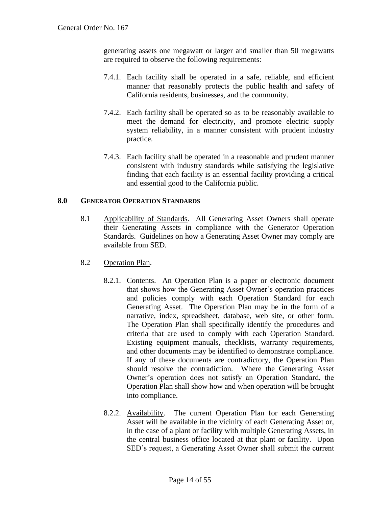generating assets one megawatt or larger and smaller than 50 megawatts are required to observe the following requirements:

- 7.4.1. Each facility shall be operated in a safe, reliable, and efficient manner that reasonably protects the public health and safety of California residents, businesses, and the community.
- 7.4.2. Each facility shall be operated so as to be reasonably available to meet the demand for electricity, and promote electric supply system reliability, in a manner consistent with prudent industry practice.
- 7.4.3. Each facility shall be operated in a reasonable and prudent manner consistent with industry standards while satisfying the legislative finding that each facility is an essential facility providing a critical and essential good to the California public.

#### <span id="page-13-0"></span>**8.0 GENERATOR OPERATION STANDARDS**

- 8.1 Applicability of Standards. All Generating Asset Owners shall operate their Generating Assets in compliance with the Generator Operation Standards. Guidelines on how a Generating Asset Owner may comply are available from SED.
- 8.2 Operation Plan.
	- 8.2.1. Contents. An Operation Plan is a paper or electronic document that shows how the Generating Asset Owner's operation practices and policies comply with each Operation Standard for each Generating Asset. The Operation Plan may be in the form of a narrative, index, spreadsheet, database, web site, or other form. The Operation Plan shall specifically identify the procedures and criteria that are used to comply with each Operation Standard. Existing equipment manuals, checklists, warranty requirements, and other documents may be identified to demonstrate compliance. If any of these documents are contradictory, the Operation Plan should resolve the contradiction. Where the Generating Asset Owner's operation does not satisfy an Operation Standard, the Operation Plan shall show how and when operation will be brought into compliance.
	- 8.2.2. Availability. The current Operation Plan for each Generating Asset will be available in the vicinity of each Generating Asset or, in the case of a plant or facility with multiple Generating Assets, in the central business office located at that plant or facility. Upon SED's request, a Generating Asset Owner shall submit the current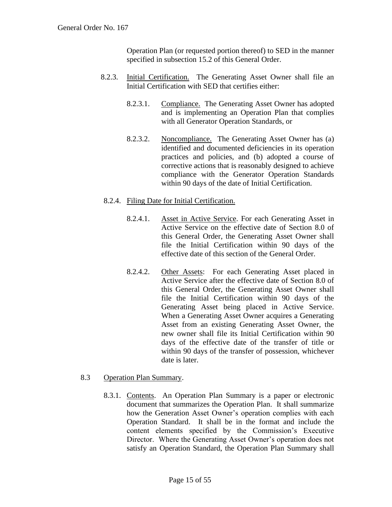Operation Plan (or requested portion thereof) to SED in the manner specified in subsection 15.2 of this General Order.

- 8.2.3. Initial Certification. The Generating Asset Owner shall file an Initial Certification with SED that certifies either:
	- 8.2.3.1. Compliance. The Generating Asset Owner has adopted and is implementing an Operation Plan that complies with all Generator Operation Standards, or
	- 8.2.3.2. Noncompliance. The Generating Asset Owner has (a) identified and documented deficiencies in its operation practices and policies, and (b) adopted a course of corrective actions that is reasonably designed to achieve compliance with the Generator Operation Standards within 90 days of the date of Initial Certification.

#### 8.2.4. Filing Date for Initial Certification.

- 8.2.4.1. Asset in Active Service. For each Generating Asset in Active Service on the effective date of Section 8.0 of this General Order, the Generating Asset Owner shall file the Initial Certification within 90 days of the effective date of this section of the General Order.
- 8.2.4.2. Other Assets: For each Generating Asset placed in Active Service after the effective date of Section 8.0 of this General Order, the Generating Asset Owner shall file the Initial Certification within 90 days of the Generating Asset being placed in Active Service. When a Generating Asset Owner acquires a Generating Asset from an existing Generating Asset Owner, the new owner shall file its Initial Certification within 90 days of the effective date of the transfer of title or within 90 days of the transfer of possession, whichever date is later.

#### 8.3 Operation Plan Summary.

8.3.1. Contents. An Operation Plan Summary is a paper or electronic document that summarizes the Operation Plan. It shall summarize how the Generation Asset Owner's operation complies with each Operation Standard. It shall be in the format and include the content elements specified by the Commission's Executive Director. Where the Generating Asset Owner's operation does not satisfy an Operation Standard, the Operation Plan Summary shall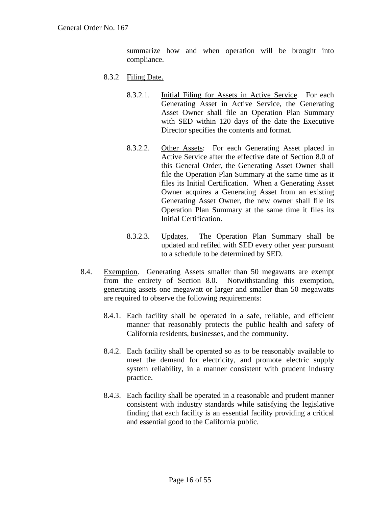summarize how and when operation will be brought into compliance.

- 8.3.2 Filing Date.
	- 8.3.2.1. Initial Filing for Assets in Active Service. For each Generating Asset in Active Service, the Generating Asset Owner shall file an Operation Plan Summary with SED within 120 days of the date the Executive Director specifies the contents and format.
	- 8.3.2.2. Other Assets: For each Generating Asset placed in Active Service after the effective date of Section 8.0 of this General Order, the Generating Asset Owner shall file the Operation Plan Summary at the same time as it files its Initial Certification. When a Generating Asset Owner acquires a Generating Asset from an existing Generating Asset Owner, the new owner shall file its Operation Plan Summary at the same time it files its Initial Certification.
	- 8.3.2.3. Updates. The Operation Plan Summary shall be updated and refiled with SED every other year pursuant to a schedule to be determined by SED.
- <span id="page-15-0"></span>8.4. Exemption. Generating Assets smaller than 50 megawatts are exempt from the entirety of Section 8.0. Notwithstanding this exemption, generating assets one megawatt or larger and smaller than 50 megawatts are required to observe the following requirements:
	- 8.4.1. Each facility shall be operated in a safe, reliable, and efficient manner that reasonably protects the public health and safety of California residents, businesses, and the community.
	- 8.4.2. Each facility shall be operated so as to be reasonably available to meet the demand for electricity, and promote electric supply system reliability, in a manner consistent with prudent industry practice.
	- 8.4.3. Each facility shall be operated in a reasonable and prudent manner consistent with industry standards while satisfying the legislative finding that each facility is an essential facility providing a critical and essential good to the California public.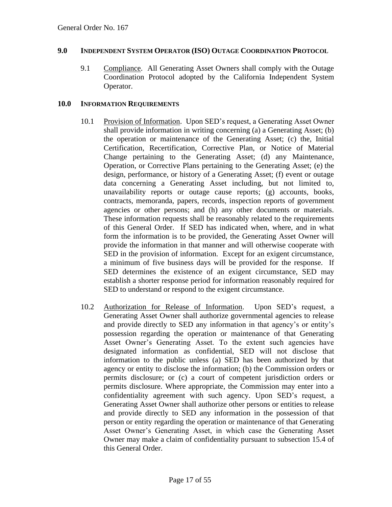#### **9.0 INDEPENDENT SYSTEM OPERATOR (ISO) OUTAGE COORDINATION PROTOCOL**

9.1 Compliance. All Generating Asset Owners shall comply with the Outage Coordination Protocol adopted by the California Independent System Operator.

#### <span id="page-16-0"></span>**10.0 INFORMATION REQUIREMENTS**

- 10.1 Provision of Information. Upon SED's request, a Generating Asset Owner shall provide information in writing concerning (a) a Generating Asset; (b) the operation or maintenance of the Generating Asset; (c) the, Initial Certification, Recertification, Corrective Plan, or Notice of Material Change pertaining to the Generating Asset; (d) any Maintenance, Operation, or Corrective Plans pertaining to the Generating Asset; (e) the design, performance, or history of a Generating Asset; (f) event or outage data concerning a Generating Asset including, but not limited to, unavailability reports or outage cause reports; (g) accounts, books, contracts, memoranda, papers, records, inspection reports of government agencies or other persons; and (h) any other documents or materials. These information requests shall be reasonably related to the requirements of this General Order. If SED has indicated when, where, and in what form the information is to be provided, the Generating Asset Owner will provide the information in that manner and will otherwise cooperate with SED in the provision of information. Except for an exigent circumstance, a minimum of five business days will be provided for the response. If SED determines the existence of an exigent circumstance, SED may establish a shorter response period for information reasonably required for SED to understand or respond to the exigent circumstance.
- 10.2 Authorization for Release of Information. Upon SED's request, a Generating Asset Owner shall authorize governmental agencies to release and provide directly to SED any information in that agency's or entity's possession regarding the operation or maintenance of that Generating Asset Owner's Generating Asset. To the extent such agencies have designated information as confidential, SED will not disclose that information to the public unless (a) SED has been authorized by that agency or entity to disclose the information; (b) the Commission orders or permits disclosure; or (c) a court of competent jurisdiction orders or permits disclosure. Where appropriate, the Commission may enter into a confidentiality agreement with such agency. Upon SED's request, a Generating Asset Owner shall authorize other persons or entities to release and provide directly to SED any information in the possession of that person or entity regarding the operation or maintenance of that Generating Asset Owner's Generating Asset, in which case the Generating Asset Owner may make a claim of confidentiality pursuant to subsection 15.4 of this General Order.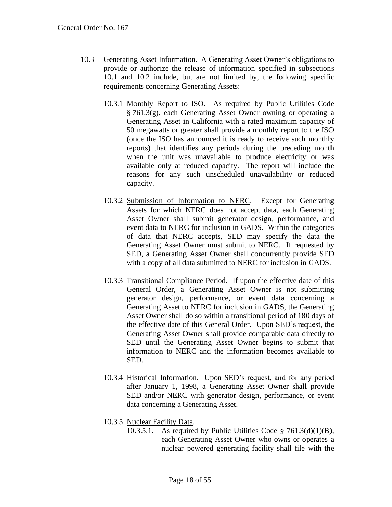- 10.3 Generating Asset Information. A Generating Asset Owner's obligations to provide or authorize the release of information specified in subsections 10.1 and 10.2 include, but are not limited by, the following specific requirements concerning Generating Assets:
	- 10.3.1 Monthly Report to ISO. As required by Public Utilities Code § 761.3(g), each Generating Asset Owner owning or operating a Generating Asset in California with a rated maximum capacity of 50 megawatts or greater shall provide a monthly report to the ISO (once the ISO has announced it is ready to receive such monthly reports) that identifies any periods during the preceding month when the unit was unavailable to produce electricity or was available only at reduced capacity. The report will include the reasons for any such unscheduled unavailability or reduced capacity.
	- 10.3.2 Submission of Information to NERC. Except for Generating Assets for which NERC does not accept data, each Generating Asset Owner shall submit generator design, performance, and event data to NERC for inclusion in GADS. Within the categories of data that NERC accepts, SED may specify the data the Generating Asset Owner must submit to NERC. If requested by SED, a Generating Asset Owner shall concurrently provide SED with a copy of all data submitted to NERC for inclusion in GADS.
	- 10.3.3 Transitional Compliance Period. If upon the effective date of this General Order, a Generating Asset Owner is not submitting generator design, performance, or event data concerning a Generating Asset to NERC for inclusion in GADS, the Generating Asset Owner shall do so within a transitional period of 180 days of the effective date of this General Order. Upon SED's request, the Generating Asset Owner shall provide comparable data directly to SED until the Generating Asset Owner begins to submit that information to NERC and the information becomes available to SED.
	- 10.3.4 Historical Information. Upon SED's request, and for any period after January 1, 1998, a Generating Asset Owner shall provide SED and/or NERC with generator design, performance, or event data concerning a Generating Asset.
	- 10.3.5 Nuclear Facility Data.
		- 10.3.5.1. As required by Public Utilities Code  $\S$  761.3(d)(1)(B), each Generating Asset Owner who owns or operates a nuclear powered generating facility shall file with the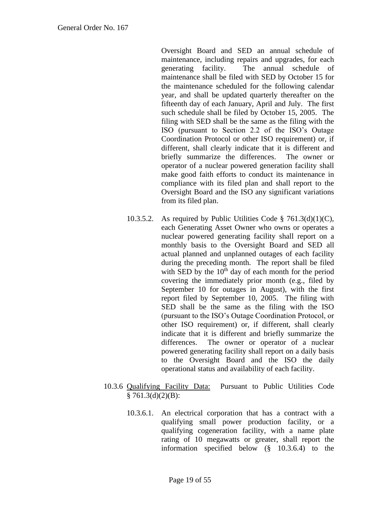Oversight Board and SED an annual schedule of maintenance, including repairs and upgrades, for each generating facility. The annual schedule of maintenance shall be filed with SED by October 15 for the maintenance scheduled for the following calendar year, and shall be updated quarterly thereafter on the fifteenth day of each January, April and July. The first such schedule shall be filed by October 15, 2005. The filing with SED shall be the same as the filing with the ISO (pursuant to Section 2.2 of the ISO's Outage Coordination Protocol or other ISO requirement) or, if different, shall clearly indicate that it is different and briefly summarize the differences. The owner or operator of a nuclear powered generation facility shall make good faith efforts to conduct its maintenance in compliance with its filed plan and shall report to the Oversight Board and the ISO any significant variations from its filed plan.

- 10.3.5.2. As required by Public Utilities Code  $\S$  761.3(d)(1)(C), each Generating Asset Owner who owns or operates a nuclear powered generating facility shall report on a monthly basis to the Oversight Board and SED all actual planned and unplanned outages of each facility during the preceding month. The report shall be filed with SED by the  $10<sup>th</sup>$  day of each month for the period covering the immediately prior month (e.g., filed by September 10 for outages in August), with the first report filed by September 10, 2005. The filing with SED shall be the same as the filing with the ISO (pursuant to the ISO's Outage Coordination Protocol, or other ISO requirement) or, if different, shall clearly indicate that it is different and briefly summarize the differences. The owner or operator of a nuclear powered generating facility shall report on a daily basis to the Oversight Board and the ISO the daily operational status and availability of each facility.
- 10.3.6 Qualifying Facility Data: Pursuant to Public Utilities Code  $§ 761.3(d)(2)(B):$ 
	- 10.3.6.1. An electrical corporation that has a contract with a qualifying small power production facility, or a qualifying cogeneration facility, with a name plate rating of 10 megawatts or greater, shall report the information specified below (§ 10.3.6.4) to the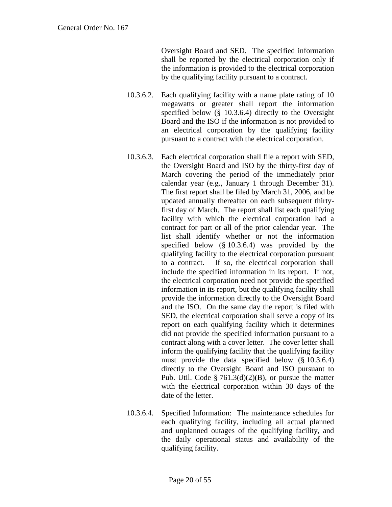Oversight Board and SED. The specified information shall be reported by the electrical corporation only if the information is provided to the electrical corporation by the qualifying facility pursuant to a contract.

- 10.3.6.2. Each qualifying facility with a name plate rating of 10 megawatts or greater shall report the information specified below (§ 10.3.6.4) directly to the Oversight Board and the ISO if the information is not provided to an electrical corporation by the qualifying facility pursuant to a contract with the electrical corporation.
- 10.3.6.3. Each electrical corporation shall file a report with SED, the Oversight Board and ISO by the thirty-first day of March covering the period of the immediately prior calendar year (e.g., January 1 through December 31). The first report shall be filed by March 31, 2006, and be updated annually thereafter on each subsequent thirtyfirst day of March. The report shall list each qualifying facility with which the electrical corporation had a contract for part or all of the prior calendar year. The list shall identify whether or not the information specified below (§ 10.3.6.4) was provided by the qualifying facility to the electrical corporation pursuant to a contract. If so, the electrical corporation shall include the specified information in its report. If not, the electrical corporation need not provide the specified information in its report, but the qualifying facility shall provide the information directly to the Oversight Board and the ISO. On the same day the report is filed with SED, the electrical corporation shall serve a copy of its report on each qualifying facility which it determines did not provide the specified information pursuant to a contract along with a cover letter. The cover letter shall inform the qualifying facility that the qualifying facility must provide the data specified below (§ 10.3.6.4) directly to the Oversight Board and ISO pursuant to Pub. Util. Code §  $761.3(d)(2)(B)$ , or pursue the matter with the electrical corporation within 30 days of the date of the letter.
- 10.3.6.4. Specified Information: The maintenance schedules for each qualifying facility, including all actual planned and unplanned outages of the qualifying facility, and the daily operational status and availability of the qualifying facility.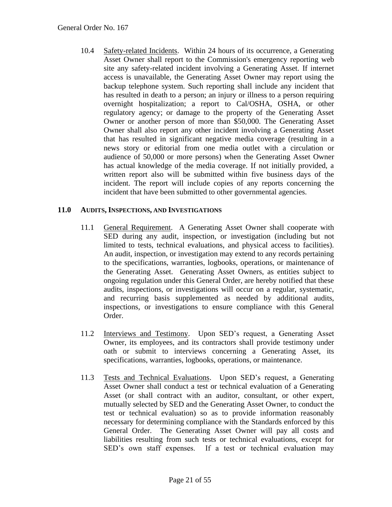10.4 Safety-related Incidents. Within 24 hours of its occurrence, a Generating Asset Owner shall report to the Commission's emergency reporting web site any safety-related incident involving a Generating Asset. If internet access is unavailable, the Generating Asset Owner may report using the backup telephone system. Such reporting shall include any incident that has resulted in death to a person; an injury or illness to a person requiring overnight hospitalization; a report to Cal/OSHA, OSHA, or other regulatory agency; or damage to the property of the Generating Asset Owner or another person of more than \$50,000. The Generating Asset Owner shall also report any other incident involving a Generating Asset that has resulted in significant negative media coverage (resulting in a news story or editorial from one media outlet with a circulation or audience of 50,000 or more persons) when the Generating Asset Owner has actual knowledge of the media coverage. If not initially provided, a written report also will be submitted within five business days of the incident. The report will include copies of any reports concerning the incident that have been submitted to other governmental agencies.

# <span id="page-20-0"></span>**11.0 AUDITS, INSPECTIONS, AND INVESTIGATIONS**

- 11.1 General Requirement. A Generating Asset Owner shall cooperate with SED during any audit, inspection, or investigation (including but not limited to tests, technical evaluations, and physical access to facilities). An audit, inspection, or investigation may extend to any records pertaining to the specifications, warranties, logbooks, operations, or maintenance of the Generating Asset. Generating Asset Owners, as entities subject to ongoing regulation under this General Order, are hereby notified that these audits, inspections, or investigations will occur on a regular, systematic, and recurring basis supplemented as needed by additional audits, inspections, or investigations to ensure compliance with this General Order.
- 11.2 Interviews and Testimony. Upon SED's request, a Generating Asset Owner, its employees, and its contractors shall provide testimony under oath or submit to interviews concerning a Generating Asset, its specifications, warranties, logbooks, operations, or maintenance.
- 11.3 Tests and Technical Evaluations. Upon SED's request, a Generating Asset Owner shall conduct a test or technical evaluation of a Generating Asset (or shall contract with an auditor, consultant, or other expert, mutually selected by SED and the Generating Asset Owner, to conduct the test or technical evaluation) so as to provide information reasonably necessary for determining compliance with the Standards enforced by this General Order. The Generating Asset Owner will pay all costs and liabilities resulting from such tests or technical evaluations, except for SED's own staff expenses. If a test or technical evaluation may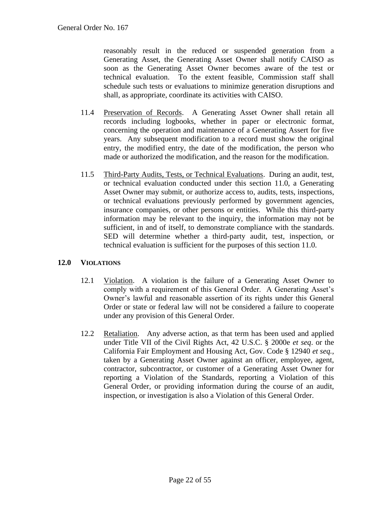reasonably result in the reduced or suspended generation from a Generating Asset, the Generating Asset Owner shall notify CAISO as soon as the Generating Asset Owner becomes aware of the test or technical evaluation. To the extent feasible, Commission staff shall schedule such tests or evaluations to minimize generation disruptions and shall, as appropriate, coordinate its activities with CAISO.

- 11.4 Preservation of Records. A Generating Asset Owner shall retain all records including logbooks, whether in paper or electronic format, concerning the operation and maintenance of a Generating Assert for five years. Any subsequent modification to a record must show the original entry, the modified entry, the date of the modification, the person who made or authorized the modification, and the reason for the modification.
- 11.5 Third-Party Audits, Tests, or Technical Evaluations. During an audit, test, or technical evaluation conducted under this section 11.0, a Generating Asset Owner may submit, or authorize access to, audits, tests, inspections, or technical evaluations previously performed by government agencies, insurance companies, or other persons or entities. While this third-party information may be relevant to the inquiry, the information may not be sufficient, in and of itself, to demonstrate compliance with the standards. SED will determine whether a third-party audit, test, inspection, or technical evaluation is sufficient for the purposes of this section 11.0.

#### <span id="page-21-0"></span>**12.0 VIOLATIONS**

- 12.1 Violation. A violation is the failure of a Generating Asset Owner to comply with a requirement of this General Order. A Generating Asset's Owner's lawful and reasonable assertion of its rights under this General Order or state or federal law will not be considered a failure to cooperate under any provision of this General Order.
- 12.2 Retaliation. Any adverse action, as that term has been used and applied under Title VII of the Civil Rights Act, 42 U.S.C. § 2000e *et seq*. or the California Fair Employment and Housing Act, Gov. Code § 12940 *et seq.,* taken by a Generating Asset Owner against an officer, employee, agent, contractor, subcontractor, or customer of a Generating Asset Owner for reporting a Violation of the Standards, reporting a Violation of this General Order, or providing information during the course of an audit, inspection, or investigation is also a Violation of this General Order.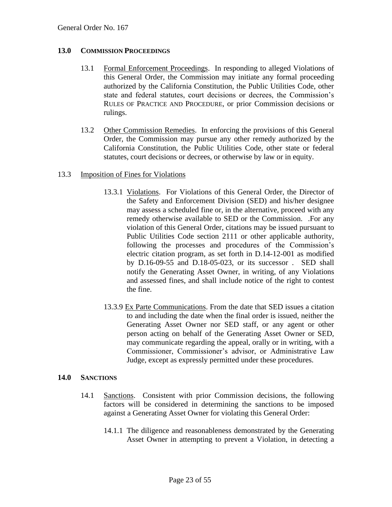#### <span id="page-22-0"></span>**13.0 COMMISSION PROCEEDINGS**

- 13.1 Formal Enforcement Proceedings. In responding to alleged Violations of this General Order, the Commission may initiate any formal proceeding authorized by the California Constitution, the Public Utilities Code, other state and federal statutes, court decisions or decrees, the Commission's RULES OF PRACTICE AND PROCEDURE, or prior Commission decisions or rulings.
- 13.2 Other Commission Remedies. In enforcing the provisions of this General Order, the Commission may pursue any other remedy authorized by the California Constitution, the Public Utilities Code, other state or federal statutes, court decisions or decrees, or otherwise by law or in equity.

#### 13.3 Imposition of Fines for Violations

- 13.3.1 Violations. For Violations of this General Order, the Director of the Safety and Enforcement Division (SED) and his/her designee may assess a scheduled fine or, in the alternative, proceed with any remedy otherwise available to SED or the Commission. .For any violation of this General Order, citations may be issued pursuant to Public Utilities Code section 2111 or other applicable authority, following the processes and procedures of the Commission's electric citation program, as set forth in D.14-12-001 as modified by D.16-09-55 and D.18-05-023, or its successor . SED shall notify the Generating Asset Owner, in writing, of any Violations and assessed fines, and shall include notice of the right to contest the fine.
- 13.3.9 Ex Parte Communications. From the date that SED issues a citation to and including the date when the final order is issued, neither the Generating Asset Owner nor SED staff, or any agent or other person acting on behalf of the Generating Asset Owner or SED, may communicate regarding the appeal, orally or in writing, with a Commissioner, Commissioner's advisor, or Administrative Law Judge, except as expressly permitted under these procedures.

#### <span id="page-22-1"></span>**14.0 SANCTIONS**

- 14.1 Sanctions. Consistent with prior Commission decisions, the following factors will be considered in determining the sanctions to be imposed against a Generating Asset Owner for violating this General Order:
	- 14.1.1 The diligence and reasonableness demonstrated by the Generating Asset Owner in attempting to prevent a Violation, in detecting a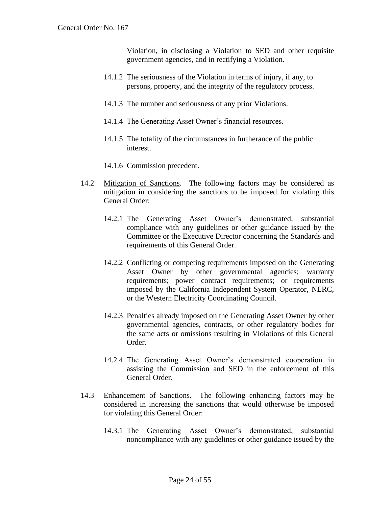Violation, in disclosing a Violation to SED and other requisite government agencies, and in rectifying a Violation.

- 14.1.2 The seriousness of the Violation in terms of injury, if any, to persons, property, and the integrity of the regulatory process.
- 14.1.3 The number and seriousness of any prior Violations.
- 14.1.4 The Generating Asset Owner's financial resources.
- 14.1.5 The totality of the circumstances in furtherance of the public interest.
- 14.1.6 Commission precedent.
- 14.2 Mitigation of Sanctions. The following factors may be considered as mitigation in considering the sanctions to be imposed for violating this General Order:
	- 14.2.1 The Generating Asset Owner's demonstrated, substantial compliance with any guidelines or other guidance issued by the Committee or the Executive Director concerning the Standards and requirements of this General Order.
	- 14.2.2 Conflicting or competing requirements imposed on the Generating Asset Owner by other governmental agencies; warranty requirements; power contract requirements; or requirements imposed by the California Independent System Operator, NERC, or the Western Electricity Coordinating Council.
	- 14.2.3 Penalties already imposed on the Generating Asset Owner by other governmental agencies, contracts, or other regulatory bodies for the same acts or omissions resulting in Violations of this General Order.
	- 14.2.4 The Generating Asset Owner's demonstrated cooperation in assisting the Commission and SED in the enforcement of this General Order.
- 14.3 Enhancement of Sanctions. The following enhancing factors may be considered in increasing the sanctions that would otherwise be imposed for violating this General Order:
	- 14.3.1 The Generating Asset Owner's demonstrated, substantial noncompliance with any guidelines or other guidance issued by the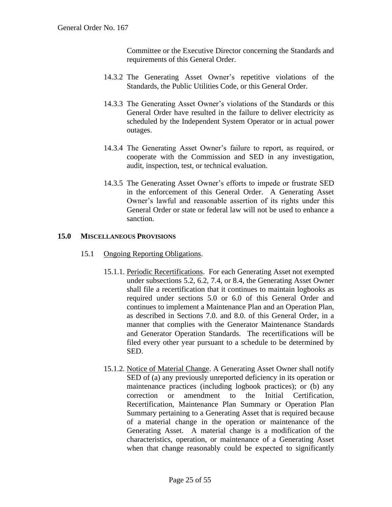Committee or the Executive Director concerning the Standards and requirements of this General Order.

- 14.3.2 The Generating Asset Owner's repetitive violations of the Standards, the Public Utilities Code, or this General Order.
- 14.3.3 The Generating Asset Owner's violations of the Standards or this General Order have resulted in the failure to deliver electricity as scheduled by the Independent System Operator or in actual power outages.
- 14.3.4 The Generating Asset Owner's failure to report, as required, or cooperate with the Commission and SED in any investigation, audit, inspection, test, or technical evaluation.
- 14.3.5 The Generating Asset Owner's efforts to impede or frustrate SED in the enforcement of this General Order. A Generating Asset Owner's lawful and reasonable assertion of its rights under this General Order or state or federal law will not be used to enhance a sanction.

#### <span id="page-24-0"></span>**15.0 MISCELLANEOUS PROVISIONS**

- 15.1 Ongoing Reporting Obligations.
	- 15.1.1. Periodic Recertifications. For each Generating Asset not exempted under subsections 5.2, 6.2, 7.4, or 8.4, the Generating Asset Owner shall file a recertification that it continues to maintain logbooks as required under sections 5.0 or 6.0 of this General Order and continues to implement a Maintenance Plan and an Operation Plan, as described in Sections 7.0. and 8.0. of this General Order, in a manner that complies with the Generator Maintenance Standards and Generator Operation Standards. The recertifications will be filed every other year pursuant to a schedule to be determined by SED.
	- 15.1.2. Notice of Material Change. A Generating Asset Owner shall notify SED of (a) any previously unreported deficiency in its operation or maintenance practices (including logbook practices); or (b) any correction or amendment to the Initial Certification, Recertification, Maintenance Plan Summary or Operation Plan Summary pertaining to a Generating Asset that is required because of a material change in the operation or maintenance of the Generating Asset. A material change is a modification of the characteristics, operation, or maintenance of a Generating Asset when that change reasonably could be expected to significantly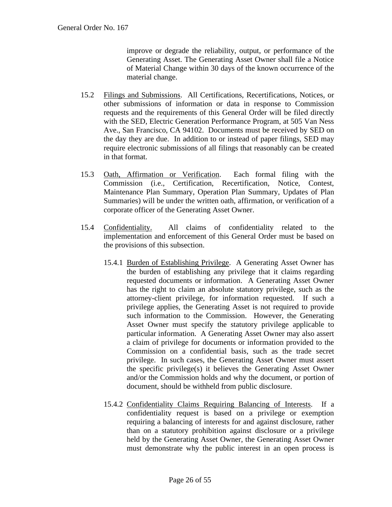improve or degrade the reliability, output, or performance of the Generating Asset. The Generating Asset Owner shall file a Notice of Material Change within 30 days of the known occurrence of the material change.

- 15.2 Filings and Submissions. All Certifications, Recertifications, Notices, or other submissions of information or data in response to Commission requests and the requirements of this General Order will be filed directly with the SED, Electric Generation Performance Program, at 505 Van Ness Ave., San Francisco, CA 94102. Documents must be received by SED on the day they are due. In addition to or instead of paper filings, SED may require electronic submissions of all filings that reasonably can be created in that format.
- 15.3 Oath, Affirmation or Verification. Each formal filing with the Commission (i.e., Certification, Recertification, Notice, Contest, Maintenance Plan Summary, Operation Plan Summary, Updates of Plan Summaries) will be under the written oath, affirmation, or verification of a corporate officer of the Generating Asset Owner.
- 15.4 Confidentiality. All claims of confidentiality related to the implementation and enforcement of this General Order must be based on the provisions of this subsection.
	- 15.4.1 Burden of Establishing Privilege. A Generating Asset Owner has the burden of establishing any privilege that it claims regarding requested documents or information. A Generating Asset Owner has the right to claim an absolute statutory privilege, such as the attorney-client privilege, for information requested. If such a privilege applies, the Generating Asset is not required to provide such information to the Commission. However, the Generating Asset Owner must specify the statutory privilege applicable to particular information. A Generating Asset Owner may also assert a claim of privilege for documents or information provided to the Commission on a confidential basis, such as the trade secret privilege. In such cases, the Generating Asset Owner must assert the specific privilege(s) it believes the Generating Asset Owner and/or the Commission holds and why the document, or portion of document, should be withheld from public disclosure.
	- 15.4.2 Confidentiality Claims Requiring Balancing of Interests. If a confidentiality request is based on a privilege or exemption requiring a balancing of interests for and against disclosure, rather than on a statutory prohibition against disclosure or a privilege held by the Generating Asset Owner, the Generating Asset Owner must demonstrate why the public interest in an open process is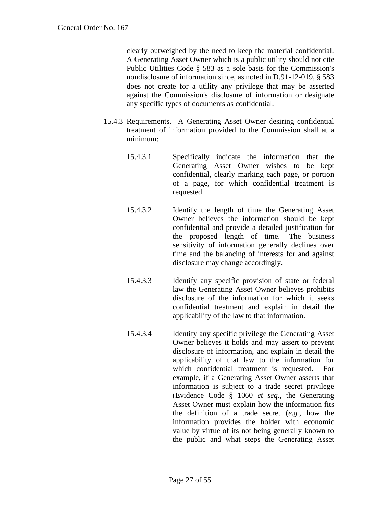clearly outweighed by the need to keep the material confidential. A Generating Asset Owner which is a public utility should not cite Public Utilities Code § 583 as a sole basis for the Commission's nondisclosure of information since, as noted in D.91-12-019, § 583 does not create for a utility any privilege that may be asserted against the Commission's disclosure of information or designate any specific types of documents as confidential.

- 15.4.3 Requirements. A Generating Asset Owner desiring confidential treatment of information provided to the Commission shall at a minimum:
	- 15.4.3.1 Specifically indicate the information that the Generating Asset Owner wishes to be kept confidential, clearly marking each page, or portion of a page, for which confidential treatment is requested.
	- 15.4.3.2 Identify the length of time the Generating Asset Owner believes the information should be kept confidential and provide a detailed justification for the proposed length of time. The business sensitivity of information generally declines over time and the balancing of interests for and against disclosure may change accordingly.
	- 15.4.3.3 Identify any specific provision of state or federal law the Generating Asset Owner believes prohibits disclosure of the information for which it seeks confidential treatment and explain in detail the applicability of the law to that information.
	- 15.4.3.4 Identify any specific privilege the Generating Asset Owner believes it holds and may assert to prevent disclosure of information, and explain in detail the applicability of that law to the information for which confidential treatment is requested. For example, if a Generating Asset Owner asserts that information is subject to a trade secret privilege (Evidence Code § 1060 *et seq.*, the Generating Asset Owner must explain how the information fits the definition of a trade secret (*e.g.*, how the information provides the holder with economic value by virtue of its not being generally known to the public and what steps the Generating Asset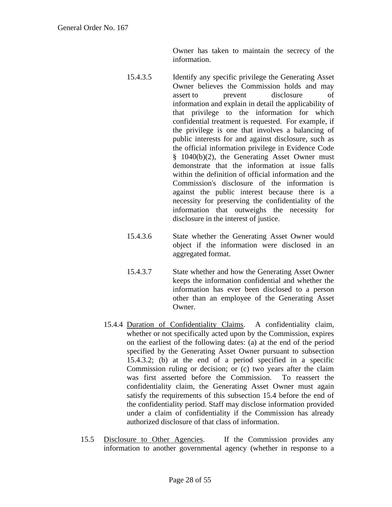Owner has taken to maintain the secrecy of the information.

- 15.4.3.5 Identify any specific privilege the Generating Asset Owner believes the Commission holds and may assert to prevent disclosure of information and explain in detail the applicability of that privilege to the information for which confidential treatment is requested. For example, if the privilege is one that involves a balancing of public interests for and against disclosure, such as the official information privilege in Evidence Code § 1040(b)(2), the Generating Asset Owner must demonstrate that the information at issue falls within the definition of official information and the Commission's disclosure of the information is against the public interest because there is a necessity for preserving the confidentiality of the information that outweighs the necessity for disclosure in the interest of justice.
- 15.4.3.6 State whether the Generating Asset Owner would object if the information were disclosed in an aggregated format.
- 15.4.3.7 State whether and how the Generating Asset Owner keeps the information confidential and whether the information has ever been disclosed to a person other than an employee of the Generating Asset Owner.
- 15.4.4 Duration of Confidentiality Claims. A confidentiality claim, whether or not specifically acted upon by the Commission, expires on the earliest of the following dates: (a) at the end of the period specified by the Generating Asset Owner pursuant to subsection 15.4.3.2; (b) at the end of a period specified in a specific Commission ruling or decision; or (c) two years after the claim was first asserted before the Commission. To reassert the confidentiality claim, the Generating Asset Owner must again satisfy the requirements of this subsection 15.4 before the end of the confidentiality period. Staff may disclose information provided under a claim of confidentiality if the Commission has already authorized disclosure of that class of information.
- 15.5 Disclosure to Other Agencies. If the Commission provides any information to another governmental agency (whether in response to a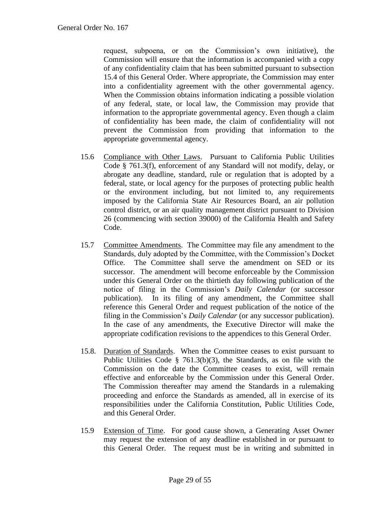request, subpoena, or on the Commission's own initiative), the Commission will ensure that the information is accompanied with a copy of any confidentiality claim that has been submitted pursuant to subsection 15.4 of this General Order. Where appropriate, the Commission may enter into a confidentiality agreement with the other governmental agency. When the Commission obtains information indicating a possible violation of any federal, state, or local law, the Commission may provide that information to the appropriate governmental agency. Even though a claim of confidentiality has been made, the claim of confidentiality will not prevent the Commission from providing that information to the appropriate governmental agency.

- 15.6 Compliance with Other Laws. Pursuant to California Public Utilities Code § 761.3(f), enforcement of any Standard will not modify, delay, or abrogate any deadline, standard, rule or regulation that is adopted by a federal, state, or local agency for the purposes of protecting public health or the environment including, but not limited to, any requirements imposed by the California State Air Resources Board, an air pollution control district, or an air quality management district pursuant to Division 26 (commencing with section 39000) of the California Health and Safety Code.
- 15.7 Committee Amendments. The Committee may file any amendment to the Standards, duly adopted by the Committee, with the Commission's Docket Office. The Committee shall serve the amendment on SED or its successor. The amendment will become enforceable by the Commission under this General Order on the thirtieth day following publication of the notice of filing in the Commission's *Daily Calendar* (or successor publication). In its filing of any amendment, the Committee shall reference this General Order and request publication of the notice of the filing in the Commission's *Daily Calendar* (or any successor publication). In the case of any amendments, the Executive Director will make the appropriate codification revisions to the appendices to this General Order.
- 15.8. Duration of Standards. When the Committee ceases to exist pursuant to Public Utilities Code § 761.3(b)(3), the Standards, as on file with the Commission on the date the Committee ceases to exist, will remain effective and enforceable by the Commission under this General Order. The Commission thereafter may amend the Standards in a rulemaking proceeding and enforce the Standards as amended, all in exercise of its responsibilities under the California Constitution, Public Utilities Code, and this General Order.
- 15.9 Extension of Time. For good cause shown, a Generating Asset Owner may request the extension of any deadline established in or pursuant to this General Order. The request must be in writing and submitted in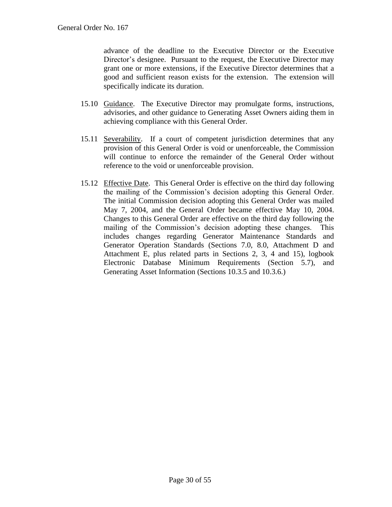advance of the deadline to the Executive Director or the Executive Director's designee. Pursuant to the request, the Executive Director may grant one or more extensions, if the Executive Director determines that a good and sufficient reason exists for the extension. The extension will specifically indicate its duration.

- 15.10 Guidance. The Executive Director may promulgate forms, instructions, advisories, and other guidance to Generating Asset Owners aiding them in achieving compliance with this General Order.
- 15.11 Severability. If a court of competent jurisdiction determines that any provision of this General Order is void or unenforceable, the Commission will continue to enforce the remainder of the General Order without reference to the void or unenforceable provision.
- 15.12 Effective Date. This General Order is effective on the third day following the mailing of the Commission's decision adopting this General Order. The initial Commission decision adopting this General Order was mailed May 7, 2004, and the General Order became effective May 10, 2004. Changes to this General Order are effective on the third day following the mailing of the Commission's decision adopting these changes. This includes changes regarding Generator Maintenance Standards and Generator Operation Standards (Sections 7.0, 8.0, Attachment D and Attachment E, plus related parts in Sections 2, 3, 4 and 15), logbook Electronic Database Minimum Requirements (Section 5.7), and Generating Asset Information (Sections 10.3.5 and 10.3.6.)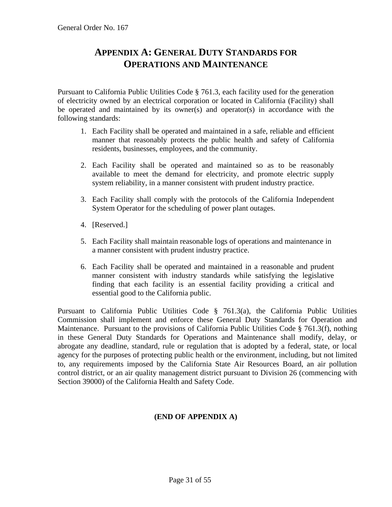# <span id="page-30-0"></span>**APPENDIX A: GENERAL DUTY STANDARDS FOR OPERATIONS AND MAINTENANCE**

<span id="page-30-1"></span>Pursuant to California Public Utilities Code § 761.3, each facility used for the generation of electricity owned by an electrical corporation or located in California (Facility) shall be operated and maintained by its owner(s) and operator(s) in accordance with the following standards:

- 1. Each Facility shall be operated and maintained in a safe, reliable and efficient manner that reasonably protects the public health and safety of California residents, businesses, employees, and the community.
- 2. Each Facility shall be operated and maintained so as to be reasonably available to meet the demand for electricity, and promote electric supply system reliability, in a manner consistent with prudent industry practice.
- 3. Each Facility shall comply with the protocols of the California Independent System Operator for the scheduling of power plant outages.
- 4. [Reserved.]
- 5. Each Facility shall maintain reasonable logs of operations and maintenance in a manner consistent with prudent industry practice.
- 6. Each Facility shall be operated and maintained in a reasonable and prudent manner consistent with industry standards while satisfying the legislative finding that each facility is an essential facility providing a critical and essential good to the California public.

Pursuant to California Public Utilities Code § 761.3(a), the California Public Utilities Commission shall implement and enforce these General Duty Standards for Operation and Maintenance. Pursuant to the provisions of California Public Utilities Code § 761.3(f), nothing in these General Duty Standards for Operations and Maintenance shall modify, delay, or abrogate any deadline, standard, rule or regulation that is adopted by a federal, state, or local agency for the purposes of protecting public health or the environment, including, but not limited to, any requirements imposed by the California State Air Resources Board, an air pollution control district, or an air quality management district pursuant to Division 26 (commencing with Section 39000) of the California Health and Safety Code.

# **(END OF APPENDIX A)**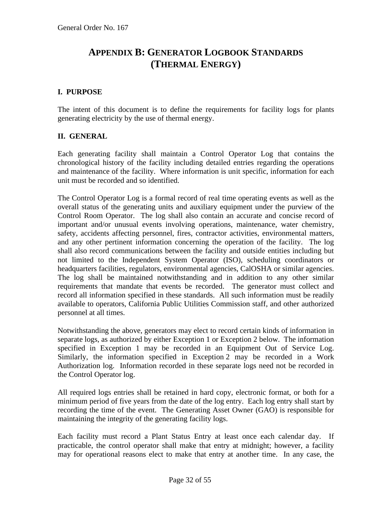# <span id="page-31-0"></span>**APPENDIX B: GENERATOR LOGBOOK STANDARDS (THERMAL ENERGY)**

#### <span id="page-31-1"></span>**I. PURPOSE**

The intent of this document is to define the requirements for facility logs for plants generating electricity by the use of thermal energy.

# **II. GENERAL**

Each generating facility shall maintain a Control Operator Log that contains the chronological history of the facility including detailed entries regarding the operations and maintenance of the facility. Where information is unit specific, information for each unit must be recorded and so identified.

The Control Operator Log is a formal record of real time operating events as well as the overall status of the generating units and auxiliary equipment under the purview of the Control Room Operator. The log shall also contain an accurate and concise record of important and/or unusual events involving operations, maintenance, water chemistry, safety, accidents affecting personnel, fires, contractor activities, environmental matters, and any other pertinent information concerning the operation of the facility. The log shall also record communications between the facility and outside entities including but not limited to the Independent System Operator (ISO), scheduling coordinators or headquarters facilities, regulators, environmental agencies, CalOSHA or similar agencies. The log shall be maintained notwithstanding and in addition to any other similar requirements that mandate that events be recorded. The generator must collect and record all information specified in these standards. All such information must be readily available to operators, California Public Utilities Commission staff, and other authorized personnel at all times.

Notwithstanding the above, generators may elect to record certain kinds of information in separate logs, as authorized by either Exception 1 or Exception 2 below. The information specified in Exception 1 may be recorded in an Equipment Out of Service Log. Similarly, the information specified in Exception 2 may be recorded in a Work Authorization log. Information recorded in these separate logs need not be recorded in the Control Operator log.

All required logs entries shall be retained in hard copy, electronic format, or both for a minimum period of five years from the date of the log entry. Each log entry shall start by recording the time of the event. The Generating Asset Owner (GAO) is responsible for maintaining the integrity of the generating facility logs.

Each facility must record a Plant Status Entry at least once each calendar day. If practicable, the control operator shall make that entry at midnight; however, a facility may for operational reasons elect to make that entry at another time. In any case, the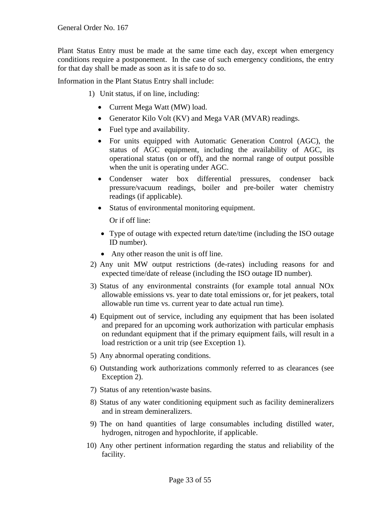Plant Status Entry must be made at the same time each day, except when emergency conditions require a postponement. In the case of such emergency conditions, the entry for that day shall be made as soon as it is safe to do so.

Information in the Plant Status Entry shall include:

- 1) Unit status, if on line, including:
	- Current Mega Watt (MW) load.
	- Generator Kilo Volt (KV) and Mega VAR (MVAR) readings.
	- Fuel type and availability.
	- For units equipped with Automatic Generation Control (AGC), the status of AGC equipment, including the availability of AGC, its operational status (on or off), and the normal range of output possible when the unit is operating under AGC.
	- Condenser water box differential pressures, condenser back pressure/vacuum readings, boiler and pre-boiler water chemistry readings (if applicable).
	- Status of environmental monitoring equipment.

Or if off line:

- Type of outage with expected return date/time (including the ISO outage ID number).
- Any other reason the unit is off line.
- 2) Any unit MW output restrictions (de-rates) including reasons for and expected time/date of release (including the ISO outage ID number).
- 3) Status of any environmental constraints (for example total annual NOx allowable emissions vs. year to date total emissions or, for jet peakers, total allowable run time vs. current year to date actual run time).
- 4) Equipment out of service, including any equipment that has been isolated and prepared for an upcoming work authorization with particular emphasis on redundant equipment that if the primary equipment fails, will result in a load restriction or a unit trip (see Exception 1).
- 5) Any abnormal operating conditions.
- 6) Outstanding work authorizations commonly referred to as clearances (see Exception 2).
- 7) Status of any retention/waste basins.
- 8) Status of any water conditioning equipment such as facility demineralizers and in stream demineralizers.
- 9) The on hand quantities of large consumables including distilled water, hydrogen, nitrogen and hypochlorite, if applicable.
- 10) Any other pertinent information regarding the status and reliability of the facility.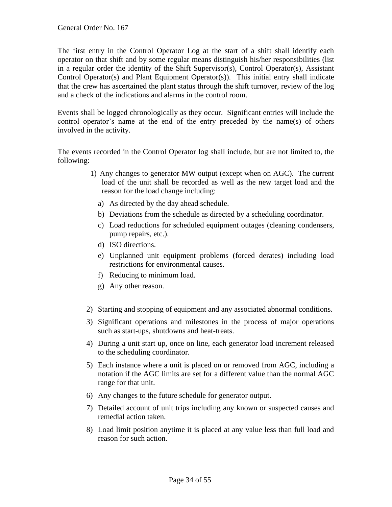The first entry in the Control Operator Log at the start of a shift shall identify each operator on that shift and by some regular means distinguish his/her responsibilities (list in a regular order the identity of the Shift Supervisor(s), Control Operator(s), Assistant Control Operator(s) and Plant Equipment Operator(s)). This initial entry shall indicate that the crew has ascertained the plant status through the shift turnover, review of the log and a check of the indications and alarms in the control room.

Events shall be logged chronologically as they occur. Significant entries will include the control operator's name at the end of the entry preceded by the name(s) of others involved in the activity.

The events recorded in the Control Operator log shall include, but are not limited to, the following:

- 1) Any changes to generator MW output (except when on AGC). The current load of the unit shall be recorded as well as the new target load and the reason for the load change including:
	- a) As directed by the day ahead schedule.
	- b) Deviations from the schedule as directed by a scheduling coordinator.
	- c) Load reductions for scheduled equipment outages (cleaning condensers, pump repairs, etc.).
	- d) ISO directions.
	- e) Unplanned unit equipment problems (forced derates) including load restrictions for environmental causes.
	- f) Reducing to minimum load.
	- g) Any other reason.
- 2) Starting and stopping of equipment and any associated abnormal conditions.
- 3) Significant operations and milestones in the process of major operations such as start-ups, shutdowns and heat-treats.
- 4) During a unit start up, once on line, each generator load increment released to the scheduling coordinator.
- 5) Each instance where a unit is placed on or removed from AGC, including a notation if the AGC limits are set for a different value than the normal AGC range for that unit.
- 6) Any changes to the future schedule for generator output.
- 7) Detailed account of unit trips including any known or suspected causes and remedial action taken.
- 8) Load limit position anytime it is placed at any value less than full load and reason for such action.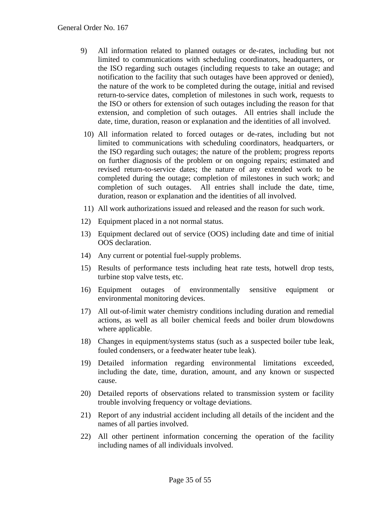- 9) All information related to planned outages or de-rates, including but not limited to communications with scheduling coordinators, headquarters, or the ISO regarding such outages (including requests to take an outage; and notification to the facility that such outages have been approved or denied), the nature of the work to be completed during the outage, initial and revised return-to-service dates, completion of milestones in such work, requests to the ISO or others for extension of such outages including the reason for that extension, and completion of such outages. All entries shall include the date, time, duration, reason or explanation and the identities of all involved.
- 10) All information related to forced outages or de-rates, including but not limited to communications with scheduling coordinators, headquarters, or the ISO regarding such outages; the nature of the problem; progress reports on further diagnosis of the problem or on ongoing repairs; estimated and revised return-to-service dates; the nature of any extended work to be completed during the outage; completion of milestones in such work; and completion of such outages. All entries shall include the date, time, duration, reason or explanation and the identities of all involved.
- 11) All work authorizations issued and released and the reason for such work.
- 12) Equipment placed in a not normal status.
- 13) Equipment declared out of service (OOS) including date and time of initial OOS declaration.
- 14) Any current or potential fuel-supply problems.
- 15) Results of performance tests including heat rate tests, hotwell drop tests, turbine stop valve tests, etc.
- 16) Equipment outages of environmentally sensitive equipment or environmental monitoring devices.
- 17) All out-of-limit water chemistry conditions including duration and remedial actions, as well as all boiler chemical feeds and boiler drum blowdowns where applicable.
- 18) Changes in equipment/systems status (such as a suspected boiler tube leak, fouled condensers, or a feedwater heater tube leak).
- 19) Detailed information regarding environmental limitations exceeded, including the date, time, duration, amount, and any known or suspected cause.
- 20) Detailed reports of observations related to transmission system or facility trouble involving frequency or voltage deviations.
- 21) Report of any industrial accident including all details of the incident and the names of all parties involved.
- 22) All other pertinent information concerning the operation of the facility including names of all individuals involved.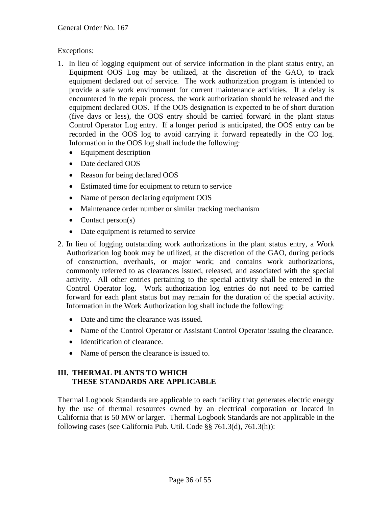# Exceptions:

- 1. In lieu of logging equipment out of service information in the plant status entry, an Equipment OOS Log may be utilized, at the discretion of the GAO, to track equipment declared out of service. The work authorization program is intended to provide a safe work environment for current maintenance activities. If a delay is encountered in the repair process, the work authorization should be released and the equipment declared OOS. If the OOS designation is expected to be of short duration (five days or less), the OOS entry should be carried forward in the plant status Control Operator Log entry. If a longer period is anticipated, the OOS entry can be recorded in the OOS log to avoid carrying it forward repeatedly in the CO log. Information in the OOS log shall include the following:
	- Equipment description
	- Date declared OOS
	- Reason for being declared OOS
	- Estimated time for equipment to return to service
	- Name of person declaring equipment OOS
	- Maintenance order number or similar tracking mechanism
	- Contact person(s)
	- Date equipment is returned to service
- 2. In lieu of logging outstanding work authorizations in the plant status entry, a Work Authorization log book may be utilized, at the discretion of the GAO, during periods of construction, overhauls, or major work; and contains work authorizations*,*  commonly referred to as clearances issued, released, and associated with the special activity. All other entries pertaining to the special activity shall be entered in the Control Operator log. Work authorization log entries do not need to be carried forward for each plant status but may remain for the duration of the special activity. Information in the Work Authorization log shall include the following:
	- Date and time the clearance was issued.
	- Name of the Control Operator or Assistant Control Operator issuing the clearance.
	- Identification of clearance.
	- Name of person the clearance is issued to.

# **III. THERMAL PLANTS TO WHICH THESE STANDARDS ARE APPLICABLE**

Thermal Logbook Standards are applicable to each facility that generates electric energy by the use of thermal resources owned by an electrical corporation or located in California that is 50 MW or larger. Thermal Logbook Standards are not applicable in the following cases (see California Pub. Util. Code §§ 761.3(d), 761.3(h)):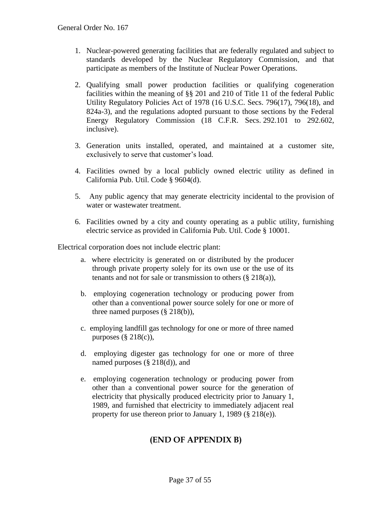- 1. Nuclear-powered generating facilities that are federally regulated and subject to standards developed by the Nuclear Regulatory Commission, and that participate as members of the Institute of Nuclear Power Operations.
- 2. Qualifying small power production facilities or qualifying cogeneration facilities within the meaning of §§ 201 and 210 of Title 11 of the federal Public Utility Regulatory Policies Act of 1978 (16 U.S.C. Secs. 796(17), 796(18), and 824a-3), and the regulations adopted pursuant to those sections by the Federal Energy Regulatory Commission (18 C.F.R. Secs. 292.101 to 292.602, inclusive).
- 3. Generation units installed, operated, and maintained at a customer site, exclusively to serve that customer's load.
- 4. Facilities owned by a local publicly owned electric utility as defined in California Pub. Util. Code § 9604(d).
- 5. Any public agency that may generate electricity incidental to the provision of water or wastewater treatment.
- 6. Facilities owned by a city and county operating as a public utility, furnishing electric service as provided in California Pub. Util. Code § 10001.

Electrical corporation does not include electric plant:

- a. where electricity is generated on or distributed by the producer through private property solely for its own use or the use of its tenants and not for sale or transmission to others  $(\S 218(a))$ ,
- b. employing cogeneration technology or producing power from other than a conventional power source solely for one or more of three named purposes (§ 218(b)),
- c. employing landfill gas technology for one or more of three named purposes  $(\S 218(c))$ ,
- d. employing digester gas technology for one or more of three named purposes (§ 218(d)), and
- e. employing cogeneration technology or producing power from other than a conventional power source for the generation of electricity that physically produced electricity prior to January 1, 1989, and furnished that electricity to immediately adjacent real property for use thereon prior to January 1, 1989 (§ 218(e)).

# **(END OF APPENDIX B)**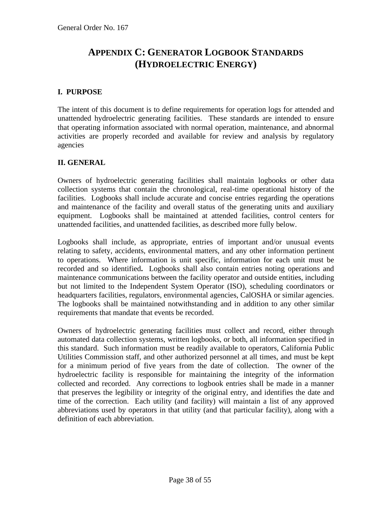# <span id="page-37-0"></span>**APPENDIX C: GENERATOR LOGBOOK STANDARDS (HYDROELECTRIC ENERGY)**

# **I. PURPOSE**

The intent of this document is to define requirements for operation logs for attended and unattended hydroelectric generating facilities. These standards are intended to ensure that operating information associated with normal operation, maintenance, and abnormal activities are properly recorded and available for review and analysis by regulatory agencies

#### **II. GENERAL**

Owners of hydroelectric generating facilities shall maintain logbooks or other data collection systems that contain the chronological, real-time operational history of the facilities. Logbooks shall include accurate and concise entries regarding the operations and maintenance of the facility and overall status of the generating units and auxiliary equipment. Logbooks shall be maintained at attended facilities, control centers for unattended facilities, and unattended facilities, as described more fully below.

Logbooks shall include, as appropriate, entries of important and/or unusual events relating to safety, accidents, environmental matters, and any other information pertinent to operations. Where information is unit specific, information for each unit must be recorded and so identified**.** Logbooks shall also contain entries noting operations and maintenance communications between the facility operator and outside entities, including but not limited to the Independent System Operator (ISO), scheduling coordinators or headquarters facilities, regulators, environmental agencies, CalOSHA or similar agencies. The logbooks shall be maintained notwithstanding and in addition to any other similar requirements that mandate that events be recorded.

Owners of hydroelectric generating facilities must collect and record, either through automated data collection systems, written logbooks, or both, all information specified in this standard. Such information must be readily available to operators, California Public Utilities Commission staff, and other authorized personnel at all times, and must be kept for a minimum period of five years from the date of collection. The owner of the hydroelectric facility is responsible for maintaining the integrity of the information collected and recorded. Any corrections to logbook entries shall be made in a manner that preserves the legibility or integrity of the original entry, and identifies the date and time of the correction. Each utility (and facility) will maintain a list of any approved abbreviations used by operators in that utility (and that particular facility), along with a definition of each abbreviation.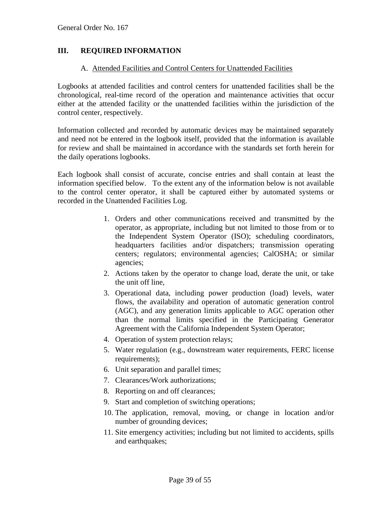# **III. REQUIRED INFORMATION**

#### A. Attended Facilities and Control Centers for Unattended Facilities

Logbooks at attended facilities and control centers for unattended facilities shall be the chronological, real-time record of the operation and maintenance activities that occur either at the attended facility or the unattended facilities within the jurisdiction of the control center, respectively.

Information collected and recorded by automatic devices may be maintained separately and need not be entered in the logbook itself, provided that the information is available for review and shall be maintained in accordance with the standards set forth herein for the daily operations logbooks.

Each logbook shall consist of accurate, concise entries and shall contain at least the information specified below. To the extent any of the information below is not available to the control center operator, it shall be captured either by automated systems or recorded in the Unattended Facilities Log.

- 1. Orders and other communications received and transmitted by the operator, as appropriate, including but not limited to those from or to the Independent System Operator (ISO); scheduling coordinators, headquarters facilities and/or dispatchers; transmission operating centers; regulators; environmental agencies; CalOSHA; or similar agencies;
- 2. Actions taken by the operator to change load, derate the unit, or take the unit off line,
- 3. Operational data, including power production (load) levels, water flows, the availability and operation of automatic generation control (AGC), and any generation limits applicable to AGC operation other than the normal limits specified in the Participating Generator Agreement with the California Independent System Operator;
- 4. Operation of system protection relays;
- 5. Water regulation (e.g., downstream water requirements, FERC license requirements);
- 6. Unit separation and parallel times;
- 7. Clearances/Work authorizations;
- 8. Reporting on and off clearances;
- 9. Start and completion of switching operations;
- 10. The application, removal, moving, or change in location and/or number of grounding devices;
- 11. Site emergency activities; including but not limited to accidents, spills and earthquakes;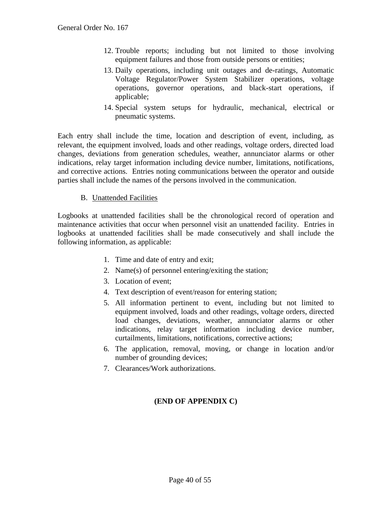- 12. Trouble reports; including but not limited to those involving equipment failures and those from outside persons or entities;
- 13. Daily operations, including unit outages and de-ratings, Automatic Voltage Regulator/Power System Stabilizer operations, voltage operations, governor operations, and black-start operations, if applicable;
- 14. Special system setups for hydraulic, mechanical, electrical or pneumatic systems.

Each entry shall include the time, location and description of event, including, as relevant, the equipment involved, loads and other readings, voltage orders, directed load changes, deviations from generation schedules, weather, annunciator alarms or other indications, relay target information including device number, limitations, notifications, and corrective actions. Entries noting communications between the operator and outside parties shall include the names of the persons involved in the communication.

#### B. Unattended Facilities

Logbooks at unattended facilities shall be the chronological record of operation and maintenance activities that occur when personnel visit an unattended facility. Entries in logbooks at unattended facilities shall be made consecutively and shall include the following information, as applicable:

- 1. Time and date of entry and exit;
- 2. Name(s) of personnel entering/exiting the station;
- 3. Location of event;
- 4. Text description of event/reason for entering station;
- 5. All information pertinent to event, including but not limited to equipment involved, loads and other readings, voltage orders, directed load changes, deviations, weather, annunciator alarms or other indications, relay target information including device number, curtailments, limitations, notifications, corrective actions;
- 6. The application, removal, moving, or change in location and/or number of grounding devices;
- 7. Clearances/Work authorizations.

# **(END OF APPENDIX C)**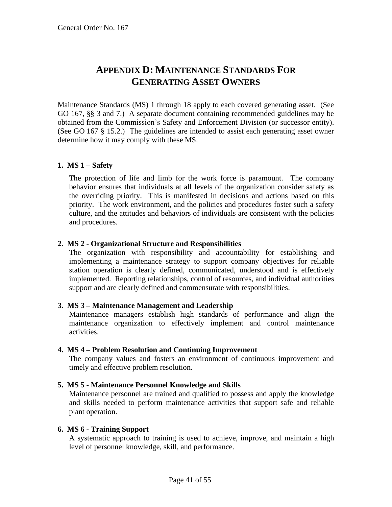# **APPENDIX D: MAINTENANCE STANDARDS FOR GENERATING ASSET OWNERS**

<span id="page-40-1"></span><span id="page-40-0"></span>Maintenance Standards (MS) 1 through 18 apply to each covered generating asset. (See GO 167, §§ 3 and 7.) A separate document containing recommended guidelines may be obtained from the Commission's Safety and Enforcement Division (or successor entity). (See GO 167 § 15.2.) The guidelines are intended to assist each generating asset owner determine how it may comply with these MS.

# **1. MS 1 – Safety**

The protection of life and limb for the work force is paramount. The company behavior ensures that individuals at all levels of the organization consider safety as the overriding priority. This is manifested in decisions and actions based on this priority. The work environment, and the policies and procedures foster such a safety culture, and the attitudes and behaviors of individuals are consistent with the policies and procedures.

#### **2. MS 2 - Organizational Structure and Responsibilities**

The organization with responsibility and accountability for establishing and implementing a maintenance strategy to support company objectives for reliable station operation is clearly defined, communicated, understood and is effectively implemented. Reporting relationships, control of resources, and individual authorities support and are clearly defined and commensurate with responsibilities.

#### **3. MS 3 – Maintenance Management and Leadership**

Maintenance managers establish high standards of performance and align the maintenance organization to effectively implement and control maintenance activities.

#### **4. MS 4 – Problem Resolution and Continuing Improvement**

The company values and fosters an environment of continuous improvement and timely and effective problem resolution.

# **5. MS 5 - Maintenance Personnel Knowledge and Skills**

Maintenance personnel are trained and qualified to possess and apply the knowledge and skills needed to perform maintenance activities that support safe and reliable plant operation.

#### **6. MS 6 - Training Support**

A systematic approach to training is used to achieve, improve, and maintain a high level of personnel knowledge, skill, and performance.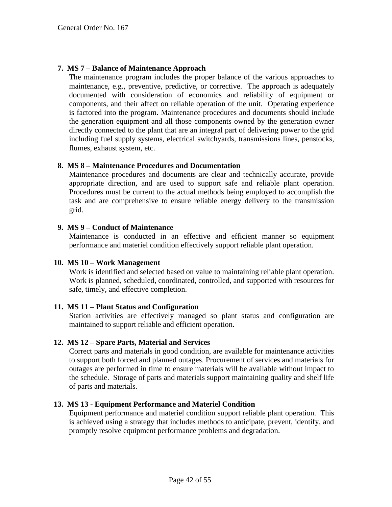#### **7. MS 7 – Balance of Maintenance Approach**

The maintenance program includes the proper balance of the various approaches to maintenance, e.g., preventive, predictive, or corrective. The approach is adequately documented with consideration of economics and reliability of equipment or components, and their affect on reliable operation of the unit. Operating experience is factored into the program. Maintenance procedures and documents should include the generation equipment and all those components owned by the generation owner directly connected to the plant that are an integral part of delivering power to the grid including fuel supply systems, electrical switchyards, transmissions lines, penstocks, flumes, exhaust system, etc.

#### **8. MS 8 – Maintenance Procedures and Documentation**

Maintenance procedures and documents are clear and technically accurate, provide appropriate direction, and are used to support safe and reliable plant operation. Procedures must be current to the actual methods being employed to accomplish the task and are comprehensive to ensure reliable energy delivery to the transmission grid.

#### **9. MS 9 – Conduct of Maintenance**

Maintenance is conducted in an effective and efficient manner so equipment performance and materiel condition effectively support reliable plant operation.

#### **10. MS 10 – Work Management**

Work is identified and selected based on value to maintaining reliable plant operation. Work is planned, scheduled, coordinated, controlled, and supported with resources for safe, timely, and effective completion.

#### **11. MS 11 – Plant Status and Configuration**

Station activities are effectively managed so plant status and configuration are maintained to support reliable and efficient operation.

#### **12. MS 12 – Spare Parts, Material and Services**

Correct parts and materials in good condition, are available for maintenance activities to support both forced and planned outages. Procurement of services and materials for outages are performed in time to ensure materials will be available without impact to the schedule. Storage of parts and materials support maintaining quality and shelf life of parts and materials.

#### **13. MS 13 - Equipment Performance and Materiel Condition**

Equipment performance and materiel condition support reliable plant operation. This is achieved using a strategy that includes methods to anticipate, prevent, identify, and promptly resolve equipment performance problems and degradation.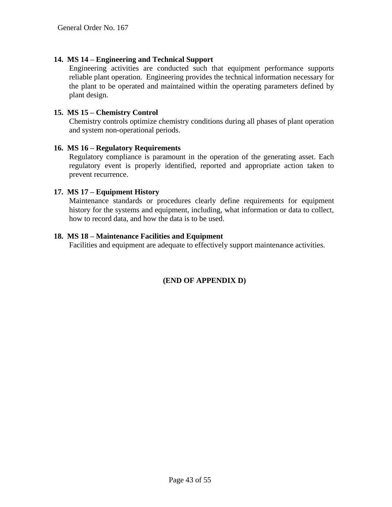#### **14. MS 14 – Engineering and Technical Support**

Engineering activities are conducted such that equipment performance supports reliable plant operation. Engineering provides the technical information necessary for the plant to be operated and maintained within the operating parameters defined by plant design.

#### **15. MS 15 – Chemistry Control**

Chemistry controls optimize chemistry conditions during all phases of plant operation and system non-operational periods.

#### **16. MS 16 – Regulatory Requirements**

Regulatory compliance is paramount in the operation of the generating asset. Each regulatory event is properly identified, reported and appropriate action taken to prevent recurrence.

#### **17. MS 17 – Equipment History**

Maintenance standards or procedures clearly define requirements for equipment history for the systems and equipment, including, what information or data to collect, how to record data, and how the data is to be used.

#### **18. MS 18 – Maintenance Facilities and Equipment**

Facilities and equipment are adequate to effectively support maintenance activities.

# **(END OF APPENDIX D)**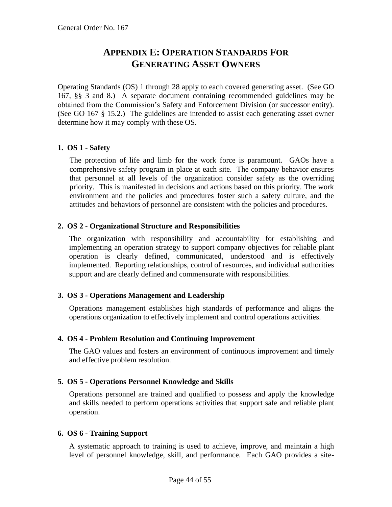# **APPENDIX E: OPERATION STANDARDS FOR GENERATING ASSET OWNERS**

<span id="page-43-1"></span><span id="page-43-0"></span>Operating Standards (OS) 1 through 28 apply to each covered generating asset. (See GO 167, §§ 3 and 8.) A separate document containing recommended guidelines may be obtained from the Commission's Safety and Enforcement Division (or successor entity). (See GO 167 § 15.2.) The guidelines are intended to assist each generating asset owner determine how it may comply with these OS.

# **1. OS 1 - Safety**

The protection of life and limb for the work force is paramount. GAOs have a comprehensive safety program in place at each site. The company behavior ensures that personnel at all levels of the organization consider safety as the overriding priority. This is manifested in decisions and actions based on this priority. The work environment and the policies and procedures foster such a safety culture, and the attitudes and behaviors of personnel are consistent with the policies and procedures.

# **2. OS 2 - Organizational Structure and Responsibilities**

The organization with responsibility and accountability for establishing and implementing an operation strategy to support company objectives for reliable plant operation is clearly defined, communicated, understood and is effectively implemented. Reporting relationships, control of resources, and individual authorities support and are clearly defined and commensurate with responsibilities.

# **3. OS 3 - Operations Management and Leadership**

Operations management establishes high standards of performance and aligns the operations organization to effectively implement and control operations activities.

# **4. OS 4 - Problem Resolution and Continuing Improvement**

The GAO values and fosters an environment of continuous improvement and timely and effective problem resolution.

# **5. OS 5 - Operations Personnel Knowledge and Skills**

Operations personnel are trained and qualified to possess and apply the knowledge and skills needed to perform operations activities that support safe and reliable plant operation.

# **6. OS 6 - Training Support**

A systematic approach to training is used to achieve, improve, and maintain a high level of personnel knowledge, skill, and performance. Each GAO provides a site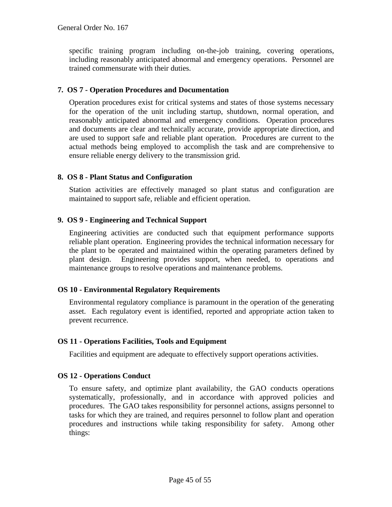specific training program including on-the-job training, covering operations, including reasonably anticipated abnormal and emergency operations. Personnel are trained commensurate with their duties.

# **7. OS 7 - Operation Procedures and Documentation**

Operation procedures exist for critical systems and states of those systems necessary for the operation of the unit including startup, shutdown, normal operation, and reasonably anticipated abnormal and emergency conditions. Operation procedures and documents are clear and technically accurate, provide appropriate direction, and are used to support safe and reliable plant operation. Procedures are current to the actual methods being employed to accomplish the task and are comprehensive to ensure reliable energy delivery to the transmission grid.

# **8. OS 8 - Plant Status and Configuration**

Station activities are effectively managed so plant status and configuration are maintained to support safe, reliable and efficient operation.

# **9. OS 9 - Engineering and Technical Support**

Engineering activities are conducted such that equipment performance supports reliable plant operation. Engineering provides the technical information necessary for the plant to be operated and maintained within the operating parameters defined by plant design. Engineering provides support, when needed, to operations and maintenance groups to resolve operations and maintenance problems.

# **OS 10 - Environmental Regulatory Requirements**

Environmental regulatory compliance is paramount in the operation of the generating asset. Each regulatory event is identified, reported and appropriate action taken to prevent recurrence.

# **OS 11 - Operations Facilities, Tools and Equipment**

Facilities and equipment are adequate to effectively support operations activities.

# **OS 12 - Operations Conduct**

To ensure safety, and optimize plant availability, the GAO conducts operations systematically, professionally, and in accordance with approved policies and procedures. The GAO takes responsibility for personnel actions, assigns personnel to tasks for which they are trained, and requires personnel to follow plant and operation procedures and instructions while taking responsibility for safety. Among other things: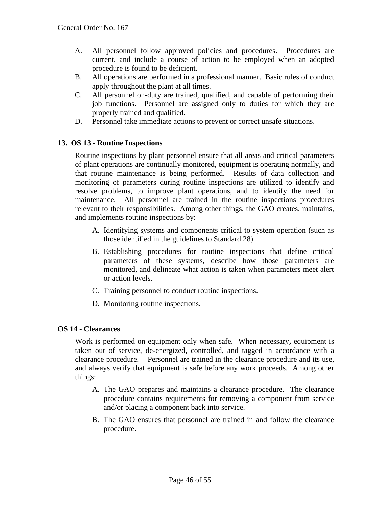- A. All personnel follow approved policies and procedures. Procedures are current, and include a course of action to be employed when an adopted procedure is found to be deficient.
- B. All operations are performed in a professional manner. Basic rules of conduct apply throughout the plant at all times.
- C. All personnel on-duty are trained, qualified, and capable of performing their job functions. Personnel are assigned only to duties for which they are properly trained and qualified.
- D. Personnel take immediate actions to prevent or correct unsafe situations.

#### **13. OS 13 - Routine Inspections**

Routine inspections by plant personnel ensure that all areas and critical parameters of plant operations are continually monitored, equipment is operating normally, and that routine maintenance is being performed. Results of data collection and monitoring of parameters during routine inspections are utilized to identify and resolve problems, to improve plant operations, and to identify the need for maintenance. All personnel are trained in the routine inspections procedures relevant to their responsibilities. Among other things, the GAO creates, maintains, and implements routine inspections by:

- A. Identifying systems and components critical to system operation (such as those identified in the guidelines to Standard 28).
- B. Establishing procedures for routine inspections that define critical parameters of these systems, describe how those parameters are monitored, and delineate what action is taken when parameters meet alert or action levels.
- C. Training personnel to conduct routine inspections.
- D. Monitoring routine inspections.

#### **OS 14 - Clearances**

Work is performed on equipment only when safe. When necessary**,** equipment is taken out of service, de-energized, controlled, and tagged in accordance with a clearance procedure. Personnel are trained in the clearance procedure and its use, and always verify that equipment is safe before any work proceeds. Among other things:

- A. The GAO prepares and maintains a clearance procedure. The clearance procedure contains requirements for removing a component from service and/or placing a component back into service.
- B. The GAO ensures that personnel are trained in and follow the clearance procedure.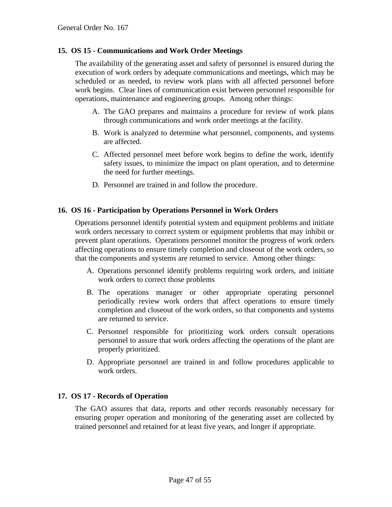#### **15. OS 15 - Communications and Work Order Meetings**

The availability of the generating asset and safety of personnel is ensured during the execution of work orders by adequate communications and meetings, which may be scheduled or as needed, to review work plans with all affected personnel before work begins. Clear lines of communication exist between personnel responsible for operations, maintenance and engineering groups. Among other things:

- A. The GAO prepares and maintains a procedure for review of work plans through communications and work order meetings at the facility.
- B. Work is analyzed to determine what personnel, components, and systems are affected.
- C. Affected personnel meet before work begins to define the work, identify safety issues, to minimize the impact on plant operation, and to determine the need for further meetings.
- D. Personnel are trained in and follow the procedure.

#### **16. OS 16 - Participation by Operations Personnel in Work Orders**

Operations personnel identify potential system and equipment problems and initiate work orders necessary to correct system or equipment problems that may inhibit or prevent plant operations. Operations personnel monitor the progress of work orders affecting operations to ensure timely completion and closeout of the work orders, so that the components and systems are returned to service. Among other things:

- A. Operations personnel identify problems requiring work orders, and initiate work orders to correct those problems
- B. The operations manager or other appropriate operating personnel periodically review work orders that affect operations to ensure timely completion and closeout of the work orders, so that components and systems are returned to service.
- C. Personnel responsible for prioritizing work orders consult operations personnel to assure that work orders affecting the operations of the plant are properly prioritized.
- D. Appropriate personnel are trained in and follow procedures applicable to work orders.

#### **17. OS 17 - Records of Operation**

The GAO assures that data, reports and other records reasonably necessary for ensuring proper operation and monitoring of the generating asset are collected by trained personnel and retained for at least five years, and longer if appropriate.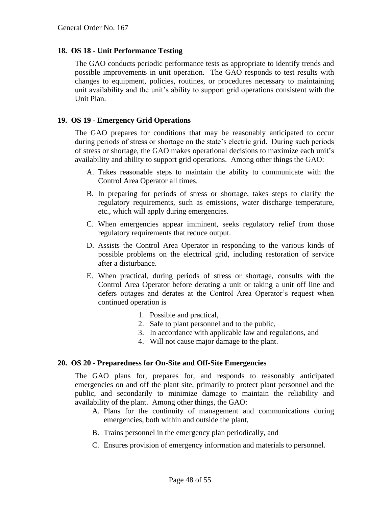#### **18. OS 18 - Unit Performance Testing**

The GAO conducts periodic performance tests as appropriate to identify trends and possible improvements in unit operation. The GAO responds to test results with changes to equipment, policies, routines, or procedures necessary to maintaining unit availability and the unit's ability to support grid operations consistent with the Unit Plan.

#### **19. OS 19 - Emergency Grid Operations**

The GAO prepares for conditions that may be reasonably anticipated to occur during periods of stress or shortage on the state's electric grid. During such periods of stress or shortage, the GAO makes operational decisions to maximize each unit's availability and ability to support grid operations. Among other things the GAO:

- A. Takes reasonable steps to maintain the ability to communicate with the Control Area Operator all times.
- B. In preparing for periods of stress or shortage, takes steps to clarify the regulatory requirements, such as emissions, water discharge temperature, etc., which will apply during emergencies.
- C. When emergencies appear imminent, seeks regulatory relief from those regulatory requirements that reduce output.
- D. Assists the Control Area Operator in responding to the various kinds of possible problems on the electrical grid, including restoration of service after a disturbance.
- E. When practical, during periods of stress or shortage, consults with the Control Area Operator before derating a unit or taking a unit off line and defers outages and derates at the Control Area Operator's request when continued operation is
	- 1. Possible and practical,
	- 2. Safe to plant personnel and to the public,
	- 3. In accordance with applicable law and regulations, and
	- 4. Will not cause major damage to the plant.

#### **20. OS 20 - Preparedness for On-Site and Off-Site Emergencies**

The GAO plans for, prepares for, and responds to reasonably anticipated emergencies on and off the plant site, primarily to protect plant personnel and the public, and secondarily to minimize damage to maintain the reliability and availability of the plant. Among other things, the GAO:

- A. Plans for the continuity of management and communications during emergencies, both within and outside the plant,
- B. Trains personnel in the emergency plan periodically, and
- C. Ensures provision of emergency information and materials to personnel.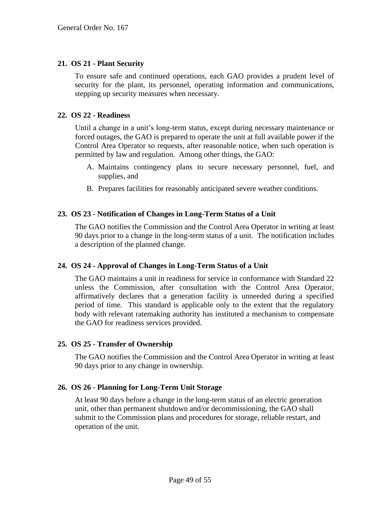#### **21. OS 21 - Plant Security**

To ensure safe and continued operations, each GAO provides a prudent level of security for the plant, its personnel, operating information and communications, stepping up security measures when necessary.

#### **22. OS 22 - Readiness**

Until a change in a unit's long-term status, except during necessary maintenance or forced outages, the GAO is prepared to operate the unit at full available power if the Control Area Operator so requests, after reasonable notice, when such operation is permitted by law and regulation. Among other things, the GAO:

- A. Maintains contingency plans to secure necessary personnel, fuel, and supplies, and
- B. Prepares facilities for reasonably anticipated severe weather conditions.

#### **23. OS 23 - Notification of Changes in Long-Term Status of a Unit**

The GAO notifies the Commission and the Control Area Operator in writing at least 90 days prior to a change in the long-term status of a unit. The notification includes a description of the planned change.

#### **24. OS 24 - Approval of Changes in Long-Term Status of a Unit**

The GAO maintains a unit in readiness for service in conformance with Standard 22 unless the Commission, after consultation with the Control Area Operator, affirmatively declares that a generation facility is unneeded during a specified period of time. This standard is applicable only to the extent that the regulatory body with relevant ratemaking authority has instituted a mechanism to compensate the GAO for readiness services provided.

#### **25. OS 25 - Transfer of Ownership**

The GAO notifies the Commission and the Control Area Operator in writing at least 90 days prior to any change in ownership.

#### **26. OS 26 - Planning for Long-Term Unit Storage**

At least 90 days before a change in the long-term status of an electric generation unit, other than permanent shutdown and/or decommissioning, the GAO shall submit to the Commission plans and procedures for storage, reliable restart, and operation of the unit.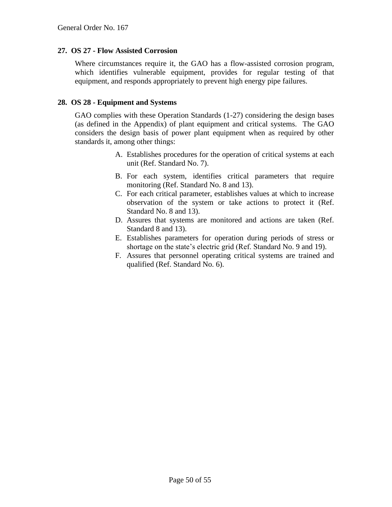#### **27. OS 27 - Flow Assisted Corrosion**

Where circumstances require it, the GAO has a flow-assisted corrosion program, which identifies vulnerable equipment, provides for regular testing of that equipment, and responds appropriately to prevent high energy pipe failures.

#### **28. OS 28 - Equipment and Systems**

GAO complies with these Operation Standards (1-27) considering the design bases (as defined in the Appendix) of plant equipment and critical systems. The GAO considers the design basis of power plant equipment when as required by other standards it, among other things:

- A. Establishes procedures for the operation of critical systems at each unit (Ref. Standard No. 7).
- B. For each system, identifies critical parameters that require monitoring (Ref. Standard No. 8 and 13).
- C. For each critical parameter, establishes values at which to increase observation of the system or take actions to protect it (Ref. Standard No. 8 and 13).
- D. Assures that systems are monitored and actions are taken (Ref. Standard 8 and 13).
- E. Establishes parameters for operation during periods of stress or shortage on the state's electric grid (Ref. Standard No. 9 and 19).
- F. Assures that personnel operating critical systems are trained and qualified (Ref. Standard No. 6).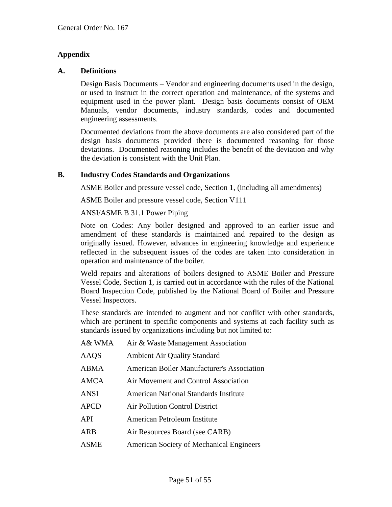# **Appendix**

#### **A. Definitions**

Design Basis Documents – Vendor and engineering documents used in the design, or used to instruct in the correct operation and maintenance, of the systems and equipment used in the power plant. Design basis documents consist of OEM Manuals, vendor documents, industry standards, codes and documented engineering assessments.

Documented deviations from the above documents are also considered part of the design basis documents provided there is documented reasoning for those deviations. Documented reasoning includes the benefit of the deviation and why the deviation is consistent with the Unit Plan.

#### **B. Industry Codes Standards and Organizations**

ASME Boiler and pressure vessel code, Section 1, (including all amendments)

ASME Boiler and pressure vessel code, Section V111

#### ANSI/ASME B 31.1 Power Piping

Note on Codes: Any boiler designed and approved to an earlier issue and amendment of these standards is maintained and repaired to the design as originally issued. However, advances in engineering knowledge and experience reflected in the subsequent issues of the codes are taken into consideration in operation and maintenance of the boiler.

Weld repairs and alterations of boilers designed to ASME Boiler and Pressure Vessel Code, Section 1, is carried out in accordance with the rules of the National Board Inspection Code, published by the National Board of Boiler and Pressure Vessel Inspectors.

These standards are intended to augment and not conflict with other standards, which are pertinent to specific components and systems at each facility such as standards issued by organizations including but not limited to:

| A& WMA      | Air & Waste Management Association                |
|-------------|---------------------------------------------------|
| AAQS        | <b>Ambient Air Quality Standard</b>               |
| ABMA        | <b>American Boiler Manufacturer's Association</b> |
| AMCA        | Air Movement and Control Association              |
| ANSI        | <b>American National Standards Institute</b>      |
| <b>APCD</b> | <b>Air Pollution Control District</b>             |
| API         | American Petroleum Institute                      |
| ARB         | Air Resources Board (see CARB)                    |
| <b>ASME</b> | American Society of Mechanical Engineers          |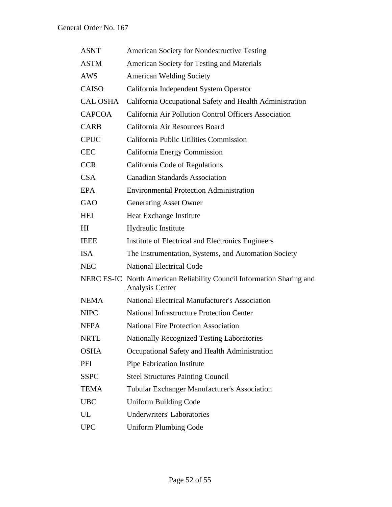| <b>ASNT</b>     | American Society for Nondestructive Testing                                                     |
|-----------------|-------------------------------------------------------------------------------------------------|
| <b>ASTM</b>     | American Society for Testing and Materials                                                      |
| AWS             | <b>American Welding Society</b>                                                                 |
| CAISO           | California Independent System Operator                                                          |
| <b>CAL OSHA</b> | California Occupational Safety and Health Administration                                        |
| <b>CAPCOA</b>   | California Air Pollution Control Officers Association                                           |
| <b>CARB</b>     | California Air Resources Board                                                                  |
| <b>CPUC</b>     | California Public Utilities Commission                                                          |
| <b>CEC</b>      | California Energy Commission                                                                    |
| <b>CCR</b>      | California Code of Regulations                                                                  |
| CSA             | <b>Canadian Standards Association</b>                                                           |
| <b>EPA</b>      | <b>Environmental Protection Administration</b>                                                  |
| GAO             | <b>Generating Asset Owner</b>                                                                   |
| <b>HEI</b>      | Heat Exchange Institute                                                                         |
| HI              | Hydraulic Institute                                                                             |
| <b>IEEE</b>     | Institute of Electrical and Electronics Engineers                                               |
| <b>ISA</b>      | The Instrumentation, Systems, and Automation Society                                            |
| <b>NEC</b>      | <b>National Electrical Code</b>                                                                 |
|                 | NERC ES-IC North American Reliability Council Information Sharing and<br><b>Analysis Center</b> |
| <b>NEMA</b>     | <b>National Electrical Manufacturer's Association</b>                                           |
| <b>NIPC</b>     | <b>National Infrastructure Protection Center</b>                                                |
| <b>NFPA</b>     | <b>National Fire Protection Association</b>                                                     |
| <b>NRTL</b>     | Nationally Recognized Testing Laboratories                                                      |
| <b>OSHA</b>     | Occupational Safety and Health Administration                                                   |
| PFI             | Pipe Fabrication Institute                                                                      |
| <b>SSPC</b>     | <b>Steel Structures Painting Council</b>                                                        |
| <b>TEMA</b>     | Tubular Exchanger Manufacturer's Association                                                    |
| <b>UBC</b>      | <b>Uniform Building Code</b>                                                                    |
| UL              | <b>Underwriters' Laboratories</b>                                                               |
| <b>UPC</b>      | <b>Uniform Plumbing Code</b>                                                                    |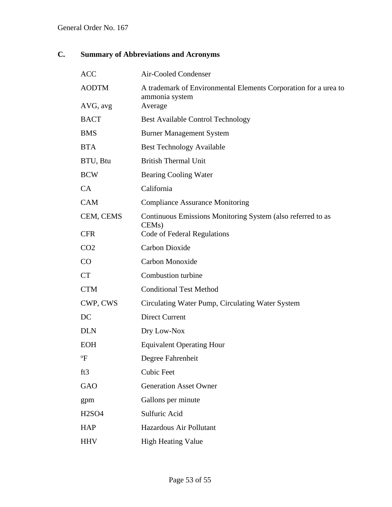# **C. Summary of Abbreviations and Acronyms**

| <b>ACC</b>      | Air-Cooled Condenser                                                              |
|-----------------|-----------------------------------------------------------------------------------|
| <b>AODTM</b>    | A trademark of Environmental Elements Corporation for a urea to<br>ammonia system |
| AVG, avg        | Average                                                                           |
| <b>BACT</b>     | <b>Best Available Control Technology</b>                                          |
| <b>BMS</b>      | <b>Burner Management System</b>                                                   |
| <b>BTA</b>      | <b>Best Technology Available</b>                                                  |
| BTU, Btu        | <b>British Thermal Unit</b>                                                       |
| <b>BCW</b>      | <b>Bearing Cooling Water</b>                                                      |
| CA              | California                                                                        |
| <b>CAM</b>      | <b>Compliance Assurance Monitoring</b>                                            |
| CEM, CEMS       | Continuous Emissions Monitoring System (also referred to as<br>CEM <sub>s</sub> ) |
| <b>CFR</b>      | Code of Federal Regulations                                                       |
| CO <sub>2</sub> | <b>Carbon Dioxide</b>                                                             |
| CO              | Carbon Monoxide                                                                   |
| <b>CT</b>       | Combustion turbine                                                                |
| <b>CTM</b>      | <b>Conditional Test Method</b>                                                    |
| CWP, CWS        | Circulating Water Pump, Circulating Water System                                  |
| DC              | <b>Direct Current</b>                                                             |
| <b>DLN</b>      | Dry Low-Nox                                                                       |
| <b>EOH</b>      | <b>Equivalent Operating Hour</b>                                                  |
| $\rm ^{o}F$     | Degree Fahrenheit                                                                 |
| ft3             | <b>Cubic Feet</b>                                                                 |
| <b>GAO</b>      | <b>Generation Asset Owner</b>                                                     |
| gpm             | Gallons per minute                                                                |
| <b>H2SO4</b>    | Sulfuric Acid                                                                     |
| <b>HAP</b>      | Hazardous Air Pollutant                                                           |
| <b>HHV</b>      | <b>High Heating Value</b>                                                         |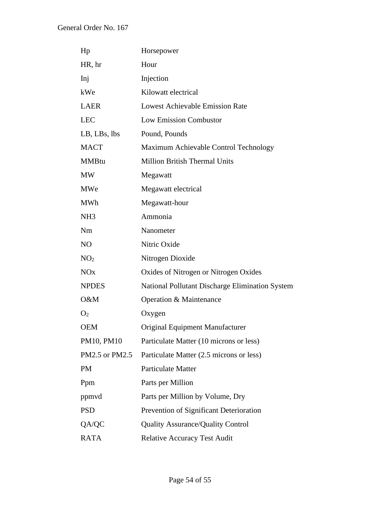| Hp                    | Horsepower                                      |
|-----------------------|-------------------------------------------------|
| HR, hr                | Hour                                            |
| Inj                   | Injection                                       |
| kWe                   | Kilowatt electrical                             |
| <b>LAER</b>           | <b>Lowest Achievable Emission Rate</b>          |
| <b>LEC</b>            | <b>Low Emission Combustor</b>                   |
| LB, LBs, lbs          | Pound, Pounds                                   |
| <b>MACT</b>           | Maximum Achievable Control Technology           |
| <b>MMBtu</b>          | <b>Million British Thermal Units</b>            |
| <b>MW</b>             | Megawatt                                        |
| <b>MWe</b>            | Megawatt electrical                             |
| <b>MWh</b>            | Megawatt-hour                                   |
| NH <sub>3</sub>       | Ammonia                                         |
| Nm                    | Nanometer                                       |
| NO                    | Nitric Oxide                                    |
| NO <sub>2</sub>       | Nitrogen Dioxide                                |
| <b>NO<sub>x</sub></b> | Oxides of Nitrogen or Nitrogen Oxides           |
| <b>NPDES</b>          | National Pollutant Discharge Elimination System |
| O&M                   | Operation & Maintenance                         |
| O <sub>2</sub>        | Oxygen                                          |
| <b>OEM</b>            | <b>Original Equipment Manufacturer</b>          |
| PM10, PM10            | Particulate Matter (10 microns or less)         |
| PM2.5 or PM2.5        | Particulate Matter (2.5 microns or less)        |
| PM                    | <b>Particulate Matter</b>                       |
| Ppm                   | Parts per Million                               |
| ppmyd                 | Parts per Million by Volume, Dry                |
| <b>PSD</b>            | Prevention of Significant Deterioration         |
| QA/QC                 | <b>Quality Assurance/Quality Control</b>        |
| <b>RATA</b>           | <b>Relative Accuracy Test Audit</b>             |